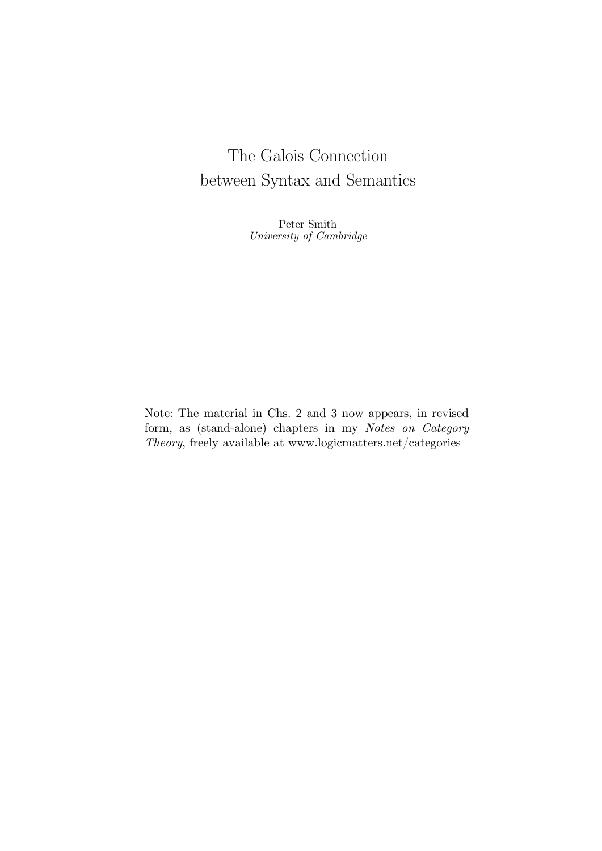# The Galois Connection between Syntax and Semantics

Peter Smith University of Cambridge

Note: The material in Chs. 2 and 3 now appears, in revised form, as (stand-alone) chapters in my *Notes on Category Theory*, freely available at [www.logicmatters.net/categories](http://www.logicmatters.net/categories)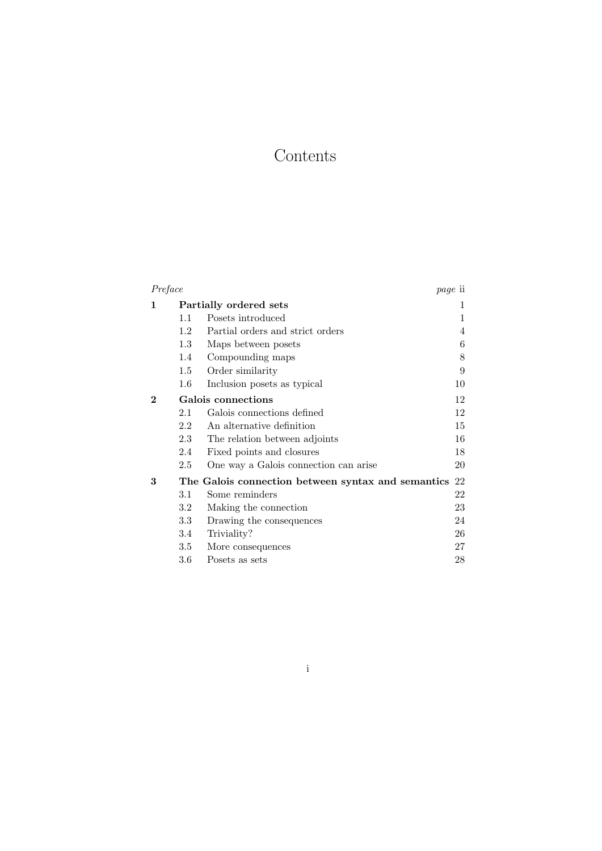# Contents

| Preface  |                        |                                                       | <i>page</i> ii |
|----------|------------------------|-------------------------------------------------------|----------------|
| 1        | Partially ordered sets |                                                       | 1              |
|          | 1.1                    | Posets introduced                                     | 1              |
|          | 1.2                    | Partial orders and strict orders                      | 4              |
|          | 1.3                    | Maps between posets                                   | 6              |
|          | 1.4                    | Compounding maps                                      | 8              |
|          | 1.5                    | Order similarity                                      | 9              |
|          | $1.6\,$                | Inclusion posets as typical                           | 10             |
| $\bf{2}$ | Galois connections     |                                                       | 12             |
|          | 2.1                    | Galois connections defined                            | 12             |
|          | 2.2                    | An alternative definition                             | 15             |
|          | 2.3                    | The relation between adjoints                         | 16             |
|          | 2.4                    | Fixed points and closures                             | 18             |
|          | 2.5                    | One way a Galois connection can arise                 | 20             |
| 3        |                        | The Galois connection between syntax and semantics 22 |                |
|          | 3.1                    | Some reminders                                        | 22             |
|          | $3.2\,$                | Making the connection                                 | 23             |
|          | 3.3                    | Drawing the consequences                              | 24             |
|          | 3.4                    | Triviality?                                           | 26             |
|          | $3.5\,$                | More consequences                                     | 27             |
|          | $3.6\,$                | Posets as sets                                        | 28             |

i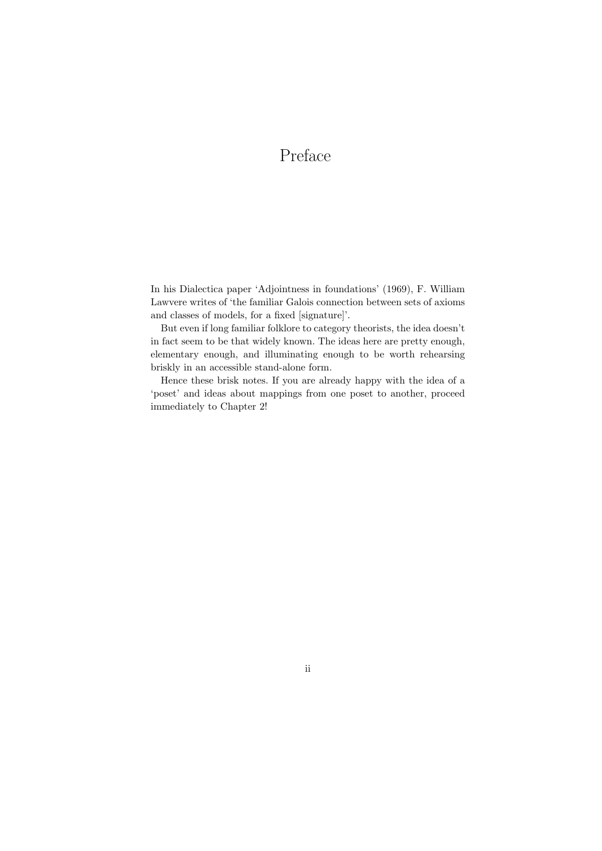# Preface

In his Dialectica paper 'Adjointness in foundations' (1969), F. William Lawvere writes of 'the familiar Galois connection between sets of axioms and classes of models, for a fixed [signature]'.

But even if long familiar folklore to category theorists, the idea doesn't in fact seem to be that widely known. The ideas here are pretty enough, elementary enough, and illuminating enough to be worth rehearsing briskly in an accessible stand-alone form.

Hence these brisk notes. If you are already happy with the idea of a 'poset' and ideas about mappings from one poset to another, proceed immediately to Chapter 2!

# ii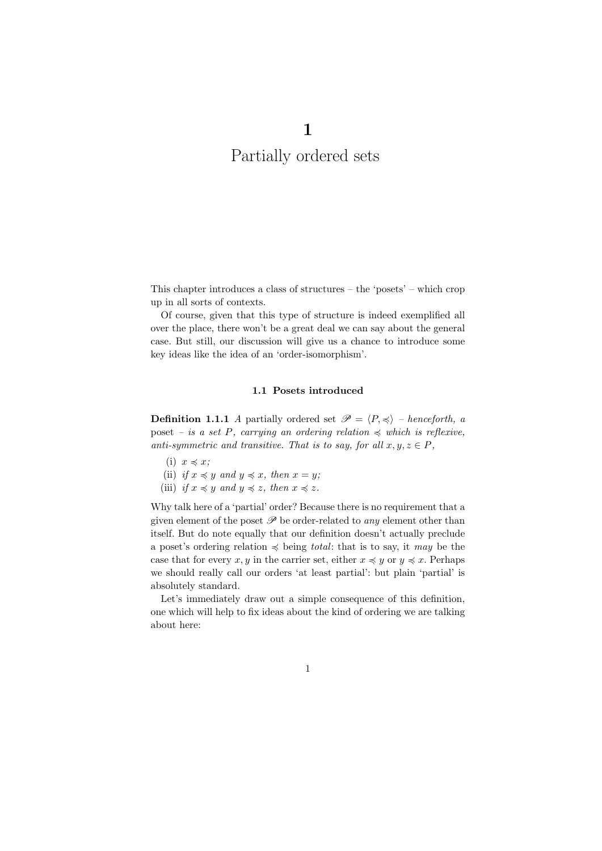# 1 Partially ordered sets

This chapter introduces a class of structures – the 'posets' – which crop up in all sorts of contexts.

Of course, given that this type of structure is indeed exemplified all over the place, there won't be a great deal we can say about the general case. But still, our discussion will give us a chance to introduce some key ideas like the idea of an 'order-isomorphism'.

### 1.1 Posets introduced

**Definition 1.1.1** A partially ordered set  $\mathcal{P} = \langle P, \preccurlyeq \rangle$  – henceforth, a poset – is a set P, carrying an ordering relation  $\preccurlyeq$  which is reflexive, anti-symmetric and transitive. That is to say, for all  $x, y, z \in P$ ,

- (i)  $x \preccurlyeq x$ ;
- (ii) if  $x \preccurlyeq y$  and  $y \preccurlyeq x$ , then  $x = y$ ;
- (iii) if  $x \preccurlyeq y$  and  $y \preccurlyeq z$ , then  $x \preccurlyeq z$ .

Why talk here of a 'partial' order? Because there is no requirement that a given element of the poset  $\mathscr P$  be order-related to any element other than itself. But do note equally that our definition doesn't actually preclude a poset's ordering relation  $\preccurlyeq$  being total: that is to say, it may be the case that for every x, y in the carrier set, either  $x \preccurlyeq y$  or  $y \preccurlyeq x$ . Perhaps we should really call our orders 'at least partial': but plain 'partial' is absolutely standard.

Let's immediately draw out a simple consequence of this definition, one which will help to fix ideas about the kind of ordering we are talking about here: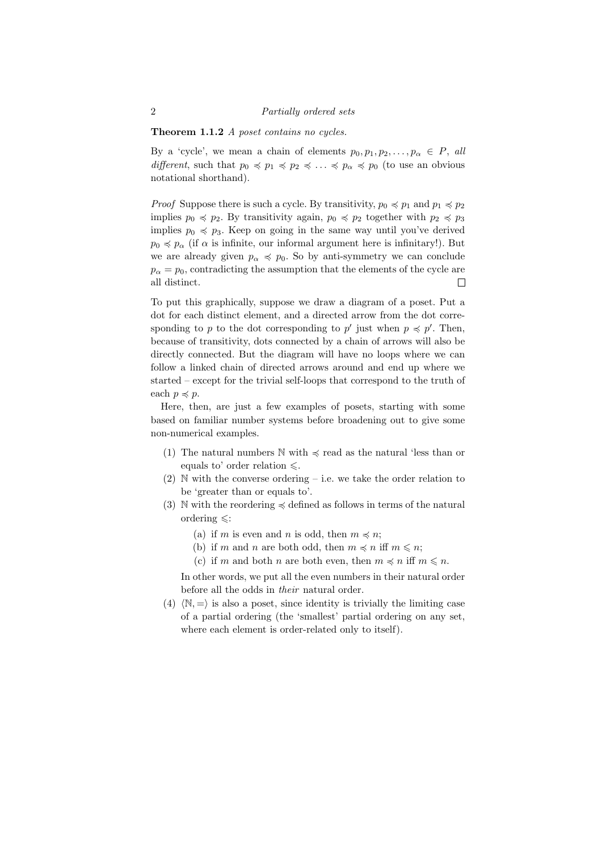Theorem 1.1.2 A poset contains no cycles.

By a 'cycle', we mean a chain of elements  $p_0, p_1, p_2, \ldots, p_\alpha \in P$ , all different, such that  $p_0 \preccurlyeq p_1 \preccurlyeq p_2 \preccurlyeq \ldots \preccurlyeq p_\alpha \preccurlyeq p_0$  (to use an obvious notational shorthand).

*Proof* Suppose there is such a cycle. By transitivity,  $p_0 \preccurlyeq p_1$  and  $p_1 \preccurlyeq p_2$ implies  $p_0 \preccurlyeq p_2$ . By transitivity again,  $p_0 \preccurlyeq p_2$  together with  $p_2 \preccurlyeq p_3$ implies  $p_0 \preccurlyeq p_3$ . Keep on going in the same way until you've derived  $p_0 \preccurlyeq p_\alpha$  (if  $\alpha$  is infinite, our informal argument here is infinitary!). But we are already given  $p_{\alpha} \preccurlyeq p_0$ . So by anti-symmetry we can conclude  $p_{\alpha} = p_0$ , contradicting the assumption that the elements of the cycle are all distinct.  $\Box$ 

To put this graphically, suppose we draw a diagram of a poset. Put a dot for each distinct element, and a directed arrow from the dot corresponding to p to the dot corresponding to p' just when  $p \preccurlyeq p'$ . Then, because of transitivity, dots connected by a chain of arrows will also be directly connected. But the diagram will have no loops where we can follow a linked chain of directed arrows around and end up where we started – except for the trivial self-loops that correspond to the truth of each  $p \preccurlyeq p$ .

Here, then, are just a few examples of posets, starting with some based on familiar number systems before broadening out to give some non-numerical examples.

- (1) The natural numbers  $\mathbb N$  with  $\preccurlyeq$  read as the natural 'less than or equals to' order relation  $\leq$ .
- $(2)$  N with the converse ordering i.e. we take the order relation to be 'greater than or equals to'.
- (3) N with the reordering  $\preccurlyeq$  defined as follows in terms of the natural ordering  $\leq$ :
	- (a) if m is even and n is odd, then  $m \preccurlyeq n$ ;
	- (b) if m and n are both odd, then  $m \preccurlyeq n$  iff  $m \leq n$ ;
	- (c) if m and both n are both even, then  $m \preccurlyeq n$  iff  $m \leq n$ .

In other words, we put all the even numbers in their natural order before all the odds in their natural order.

(4)  $\langle \mathbb{N}, = \rangle$  is also a poset, since identity is trivially the limiting case of a partial ordering (the 'smallest' partial ordering on any set, where each element is order-related only to itself).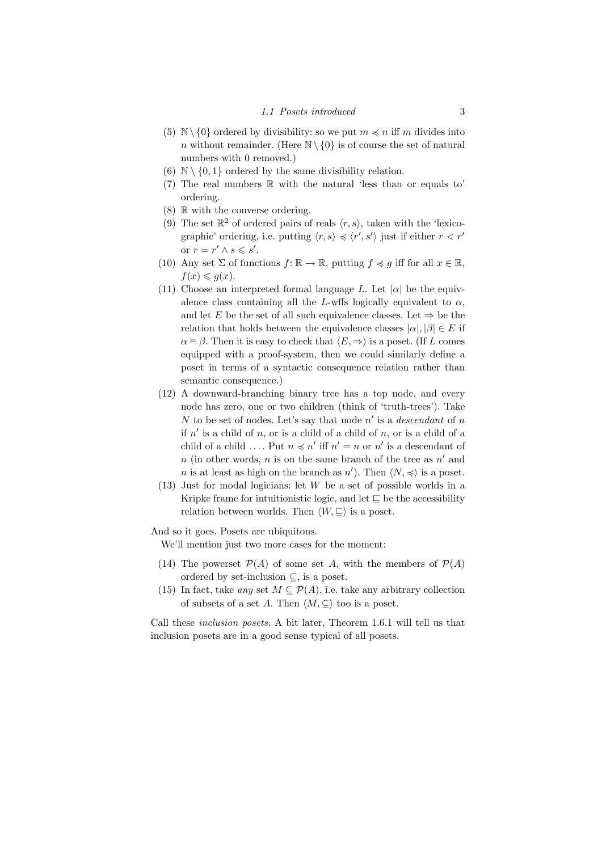### 1.1 Posets introduced 3

- (5)  $\mathbb{N}\setminus\{0\}$  ordered by divisibility: so we put  $m \preccurlyeq n$  iff m divides into n without remainder. (Here  $\mathbb{N} \setminus \{0\}$  is of course the set of natural numbers with 0 removed.)
- (6)  $\mathbb{N} \setminus \{0,1\}$  ordered by the same divisibility relation.
- (7) The real numbers R with the natural 'less than or equals to' ordering.
- $(8)$  R with the converse ordering.
- (9) The set  $\mathbb{R}^2$  of ordered pairs of reals  $\langle r, s \rangle$ , taken with the 'lexicographic' ordering, i.e. putting  $\langle r, s \rangle \preccurlyeq \langle r', s' \rangle$  just if either  $r < r'$ or  $r = r' \wedge s \leqslant s'$ .
- (10) Any set  $\Sigma$  of functions  $f: \mathbb{R} \to \mathbb{R}$ , putting  $f \preccurlyeq g$  iff for all  $x \in \mathbb{R}$ ,  $f(x) \leqslant q(x)$ .
- (11) Choose an interpreted formal language L. Let  $|\alpha|$  be the equivalence class containing all the L-wffs logically equivalent to  $\alpha$ , and let E be the set of all such equivalence classes. Let  $\Rightarrow$  be the relation that holds between the equivalence classes  $|\alpha|, |\beta| \in E$  if  $\alpha \models \beta$ . Then it is easy to check that  $\langle E, \Rightarrow \rangle$  is a poset. (If L comes equipped with a proof-system, then we could similarly define a poset in terms of a syntactic consequence relation rather than semantic consequence.)
- (12) A downward-branching binary tree has a top node, and every node has zero, one or two children (think of 'truth-trees'). Take N to be set of nodes. Let's say that node  $n'$  is a *descendant* of n if  $n'$  is a child of n, or is a child of a child of n, or is a child of a child of a child .... Put  $n \preccurlyeq n'$  iff  $n' = n$  or  $n'$  is a descendant of n (in other words, n is on the same branch of the tree as  $n'$  and *n* is at least as high on the branch as *n'*). Then  $\langle N, \preccurlyeq \rangle$  is a poset.
- (13) Just for modal logicians: let W be a set of possible worlds in a Kripke frame for intuitionistic logic, and let  $\subseteq$  be the accessibility relation between worlds. Then  $\langle W, \sqsubseteq \rangle$  is a poset.

And so it goes. Posets are ubiquitous.

We'll mention just two more cases for the moment:

- (14) The powerset  $\mathcal{P}(A)$  of some set A, with the members of  $\mathcal{P}(A)$ ordered by set-inclusion  $\subseteq$ , is a poset.
- (15) In fact, take any set  $M \subseteq \mathcal{P}(A)$ , i.e. take any arbitrary collection of subsets of a set A. Then  $\langle M, \subseteq \rangle$  too is a poset.

Call these inclusion posets. A bit later, Theorem 1.6.1 will tell us that inclusion posets are in a good sense typical of all posets.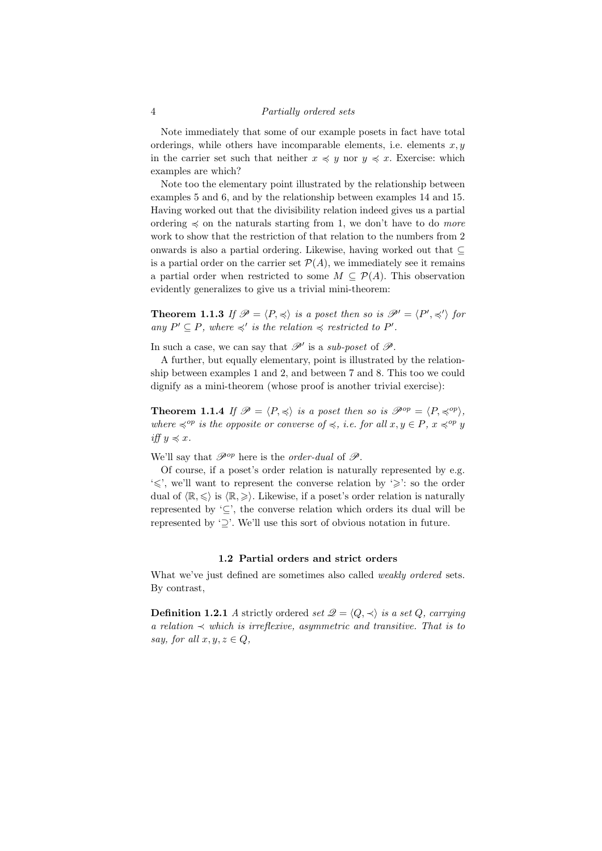### 4 Partially ordered sets

Note immediately that some of our example posets in fact have total orderings, while others have incomparable elements, i.e. elements  $x, y$ in the carrier set such that neither  $x \preccurlyeq y$  nor  $y \preccurlyeq x$ . Exercise: which examples are which?

Note too the elementary point illustrated by the relationship between examples 5 and 6, and by the relationship between examples 14 and 15. Having worked out that the divisibility relation indeed gives us a partial ordering  $\preccurlyeq$  on the naturals starting from 1, we don't have to do *more* work to show that the restriction of that relation to the numbers from 2 onwards is also a partial ordering. Likewise, having worked out that  $\subset$ is a partial order on the carrier set  $\mathcal{P}(A)$ , we immediately see it remains a partial order when restricted to some  $M \subseteq \mathcal{P}(A)$ . This observation evidently generalizes to give us a trivial mini-theorem:

**Theorem 1.1.3** If  $\mathcal{P} = \langle P, \preccurlyeq \rangle$  is a poset then so is  $\mathcal{P}' = \langle P', \preccurlyeq' \rangle$  for any  $P' \subseteq P$ , where  $\preccurlyeq'$  is the relation  $\preccurlyeq$  restricted to  $P'$ .

In such a case, we can say that  $\mathscr{P}'$  is a sub-poset of  $\mathscr{P}$ .

A further, but equally elementary, point is illustrated by the relationship between examples 1 and 2, and between 7 and 8. This too we could dignify as a mini-theorem (whose proof is another trivial exercise):

**Theorem 1.1.4** If  $\mathcal{P} = \langle P, \preccurlyeq \rangle$  is a poset then so is  $\mathcal{P}^{op} = \langle P, \preccurlyeq^{op} \rangle$ , where  $\preccurlyeq^{op}$  is the opposite or converse of  $\preccurlyeq$ , i.e. for all  $x, y \in P$ ,  $x \preccurlyeq^{op} y$ iff  $y \preccurlyeq x$ .

We'll say that  $\mathscr{P}^{op}$  here is the *order-dual* of  $\mathscr{P}$ .

Of course, if a poset's order relation is naturally represented by e.g. ' $\leq$ ', we'll want to represent the converse relation by ' $\geq$ ': so the order dual of  $\langle \mathbb{R}, \leq \rangle$  is  $\langle \mathbb{R}, \geq \rangle$ . Likewise, if a poset's order relation is naturally represented by  $\subseteq$ ', the converse relation which orders its dual will be represented by '⊇'. We'll use this sort of obvious notation in future.

## 1.2 Partial orders and strict orders

What we've just defined are sometimes also called *weakly ordered* sets. By contrast,

**Definition 1.2.1** A strictly ordered set  $\mathcal{Q} = \langle Q, \prec \rangle$  is a set Q, carrying a relation  $\prec$  which is irreflexive, asymmetric and transitive. That is to say, for all  $x, y, z \in Q$ ,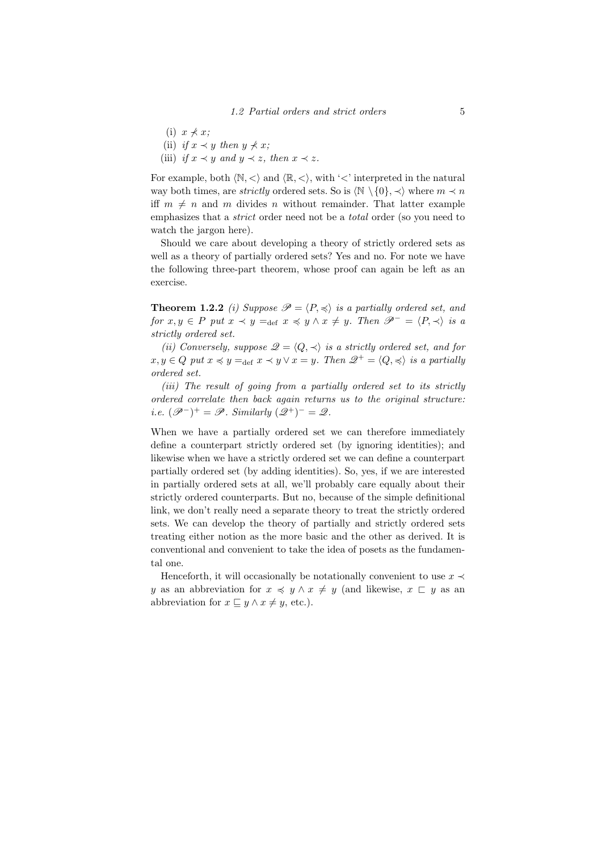- (i)  $x \nless x$ ;
- (ii) if  $x \prec y$  then  $y \not\prec x$ ;
- (iii) if  $x \prec y$  and  $y \prec z$ , then  $x \prec z$ .

For example, both  $\langle \mathbb{N}, \langle \rangle$  and  $\langle \mathbb{R}, \langle \rangle$ , with ' $\langle \rangle$ ' interpreted in the natural way both times, are *strictly* ordered sets. So is  $\langle \mathbb{N} \setminus \{0\}, \prec \rangle$  where  $m \prec n$ iff  $m \neq n$  and m divides n without remainder. That latter example emphasizes that a *strict* order need not be a *total* order (so you need to watch the jargon here).

Should we care about developing a theory of strictly ordered sets as well as a theory of partially ordered sets? Yes and no. For note we have the following three-part theorem, whose proof can again be left as an exercise.

**Theorem 1.2.2** (i) Suppose  $\mathcal{P} = \langle P, \preccurlyeq \rangle$  is a partially ordered set, and for  $x, y \in P$  put  $x \prec y =_{def} x \prec y \land x \neq y$ . Then  $\mathscr{P}^{-} = \langle P, \prec \rangle$  is a strictly ordered set.

(ii) Conversely, suppose  $\mathcal{Q} = \langle Q, \prec \rangle$  is a strictly ordered set, and for  $x, y \in Q$  put  $x \preccurlyeq y =_{def} x \preccurlyeq y \vee x = y$ . Then  $\mathscr{Q}^+ = \langle Q, \preccurlyeq \rangle$  is a partially ordered set.

(iii) The result of going from a partially ordered set to its strictly ordered correlate then back again returns us to the original structure: i.e.  $(\mathscr{P}^{-})^{+} = \mathscr{P}$ . Similarly  $(\mathscr{Q}^{+})^{-} = \mathscr{Q}$ .

When we have a partially ordered set we can therefore immediately define a counterpart strictly ordered set (by ignoring identities); and likewise when we have a strictly ordered set we can define a counterpart partially ordered set (by adding identities). So, yes, if we are interested in partially ordered sets at all, we'll probably care equally about their strictly ordered counterparts. But no, because of the simple definitional link, we don't really need a separate theory to treat the strictly ordered sets. We can develop the theory of partially and strictly ordered sets treating either notion as the more basic and the other as derived. It is conventional and convenient to take the idea of posets as the fundamental one.

Henceforth, it will occasionally be notationally convenient to use  $x \prec$ y as an abbreviation for  $x \preccurlyeq y \wedge x \neq y$  (and likewise,  $x \sqsubset y$  as an abbreviation for  $x \sqsubseteq y \land x \neq y$ , etc.).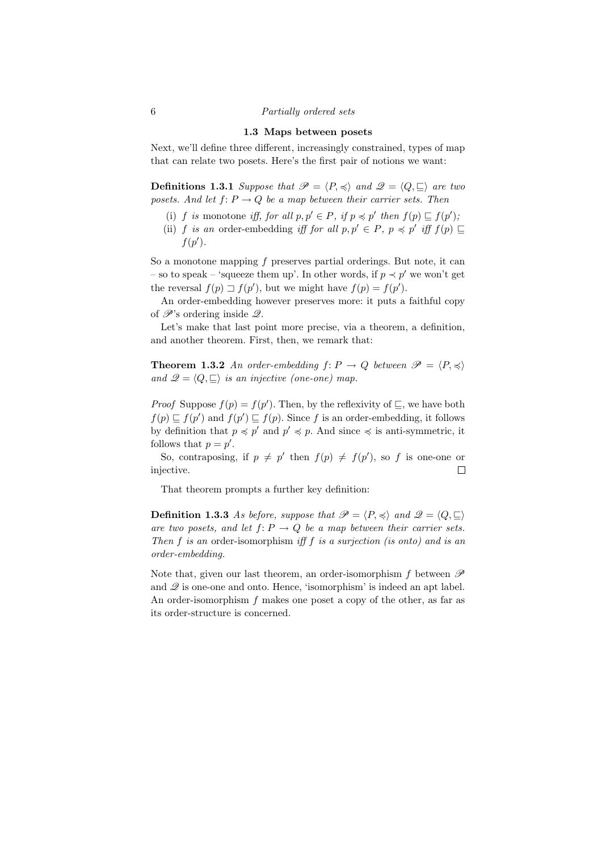### 6 Partially ordered sets

### 1.3 Maps between posets

Next, we'll define three different, increasingly constrained, types of map that can relate two posets. Here's the first pair of notions we want:

**Definitions 1.3.1** Suppose that  $\mathcal{P} = \langle P, \preccurlyeq \rangle$  and  $\mathcal{Q} = \langle Q, \sqsubseteq \rangle$  are two posets. And let  $f: P \to Q$  be a map between their carrier sets. Then

- (i) f is monotone iff, for all  $p, p' \in P$ , if  $p \preccurlyeq p'$  then  $f(p) \sqsubseteq f(p')$ ,
- (ii) f is an order-embedding iff for all  $p, p' \in P$ ,  $p \preccurlyeq p'$  iff  $f(p) \sqsubseteq$  $f(p')$ .

So a monotone mapping  $f$  preserves partial orderings. But note, it can – so to speak – 'squeeze them up'. In other words, if  $p \prec p'$  we won't get the reversal  $f(p) \sqsupset f(p')$ , but we might have  $f(p) = f(p')$ .

An order-embedding however preserves more: it puts a faithful copy of  $\mathscr{P}$ 's ordering inside  $\mathscr{Q}$ .

Let's make that last point more precise, via a theorem, a definition, and another theorem. First, then, we remark that:

**Theorem 1.3.2** An order-embedding  $f: P \to Q$  between  $\mathscr{P} = \langle P, \preccurlyeq \rangle$ and  $\mathscr{Q} = \langle Q, \sqsubseteq \rangle$  is an injective (one-one) map.

*Proof* Suppose  $f(p) = f(p')$ . Then, by the reflexivity of  $\subseteq$ , we have both  $f(p) \sqsubseteq f(p')$  and  $f(p') \sqsubseteq f(p)$ . Since f is an order-embedding, it follows by definition that  $p \preccurlyeq p'$  and  $p' \preccurlyeq p$ . And since  $\preccurlyeq$  is anti-symmetric, it follows that  $p = p'$ .

So, contraposing, if  $p \neq p'$  then  $f(p) \neq f(p')$ , so f is one-one or injective.  $\Box$ 

That theorem prompts a further key definition:

**Definition 1.3.3** As before, suppose that  $\mathcal{P} = \langle P, \preccurlyeq \rangle$  and  $\mathcal{Q} = \langle Q, \sqsubseteq \rangle$ are two posets, and let  $f: P \to Q$  be a map between their carrier sets. Then f is an order-isomorphism iff f is a surjection (is onto) and is an order-embedding.

Note that, given our last theorem, an order-isomorphism f between  $\mathscr P$ and  $\mathscr Q$  is one-one and onto. Hence, 'isomorphism' is indeed an apt label. An order-isomorphism  $f$  makes one poset a copy of the other, as far as its order-structure is concerned.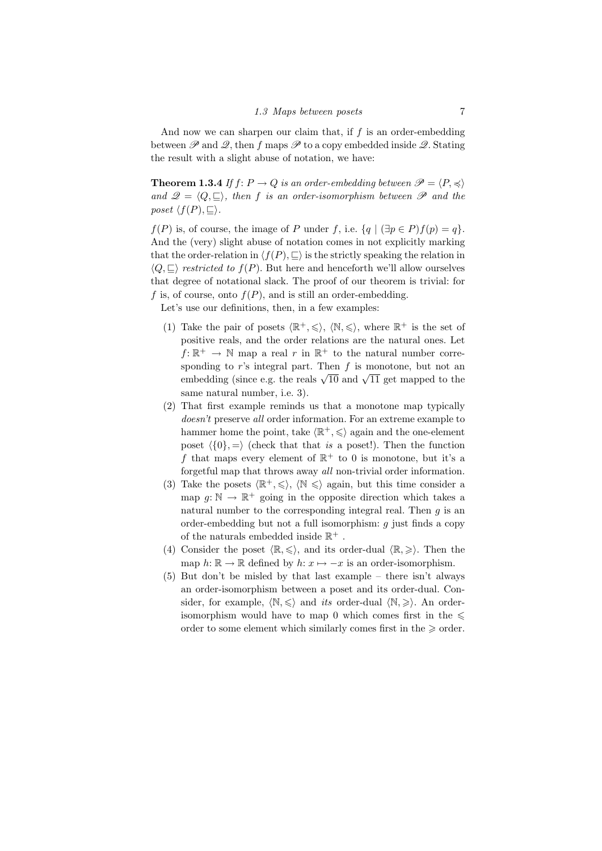And now we can sharpen our claim that, if  $f$  is an order-embedding between  $\mathscr P$  and  $\mathscr Q$ , then f maps  $\mathscr P$  to a copy embedded inside  $\mathscr Q$ . Stating the result with a slight abuse of notation, we have:

**Theorem 1.3.4** If  $f: P \to Q$  is an order-embedding between  $\mathcal{P} = \langle P, \preccurlyeq \rangle$ and  $\mathscr{Q} = \langle Q, \sqsubseteq \rangle$ , then f is an order-isomorphism between  $\mathscr{P}$  and the poset  $\langle f(P), \sqsubseteq \rangle$ .

 $f(P)$  is, of course, the image of P under f, i.e.  $\{q \mid (\exists p \in P)f(p) = q\}.$ And the (very) slight abuse of notation comes in not explicitly marking that the order-relation in  $\langle f(P), \sqsubseteq \rangle$  is the strictly speaking the relation in  $\langle Q, \sqsubseteq \rangle$  restricted to  $f(P)$ . But here and henceforth we'll allow ourselves that degree of notational slack. The proof of our theorem is trivial: for f is, of course, onto  $f(P)$ , and is still an order-embedding.

Let's use our definitions, then, in a few examples:

- (1) Take the pair of posets  $\langle \mathbb{R}^+, \leq \rangle$ ,  $\langle \mathbb{N}, \leq \rangle$ , where  $\mathbb{R}^+$  is the set of positive reals, and the order relations are the natural ones. Let  $f: \mathbb{R}^+ \to \mathbb{N}$  map a real r in  $\mathbb{R}^+$  to the natural number corresponding to  $r$ 's integral part. Then  $f$  is monotone, but not an sponding to r s integral part. Then j is monotone, but not an embedding (since e.g. the reals  $\sqrt{10}$  and  $\sqrt{11}$  get mapped to the same natural number, i.e. 3).
- (2) That first example reminds us that a monotone map typically doesn't preserve all order information. For an extreme example to hammer home the point, take  $\langle \mathbb{R}^+, \leq \rangle$  again and the one-element poset  $\langle \{0\}, \equiv \rangle$  (check that that is a poset!). Then the function f that maps every element of  $\mathbb{R}^+$  to 0 is monotone, but it's a forgetful map that throws away all non-trivial order information.
- (3) Take the posets  $\langle \mathbb{R}^+, \leq \rangle$ ,  $\langle \mathbb{N} \leq \rangle$  again, but this time consider a map  $g: \mathbb{N} \to \mathbb{R}^+$  going in the opposite direction which takes a natural number to the corresponding integral real. Then  $q$  is an order-embedding but not a full isomorphism:  $q$  just finds a copy of the naturals embedded inside  $\mathbb{R}^+$  .
- (4) Consider the poset  $\langle \mathbb{R}, \leq \rangle$ , and its order-dual  $\langle \mathbb{R}, \geq \rangle$ . Then the map  $h: \mathbb{R} \to \mathbb{R}$  defined by  $h: x \mapsto -x$  is an order-isomorphism.
- (5) But don't be misled by that last example there isn't always an order-isomorphism between a poset and its order-dual. Consider, for example,  $\langle \mathbb{N}, \leq \rangle$  and *its* order-dual  $\langle \mathbb{N}, \geq \rangle$ . An orderisomorphism would have to map 0 which comes first in the  $\leq$ order to some element which similarly comes first in the  $\geq$  order.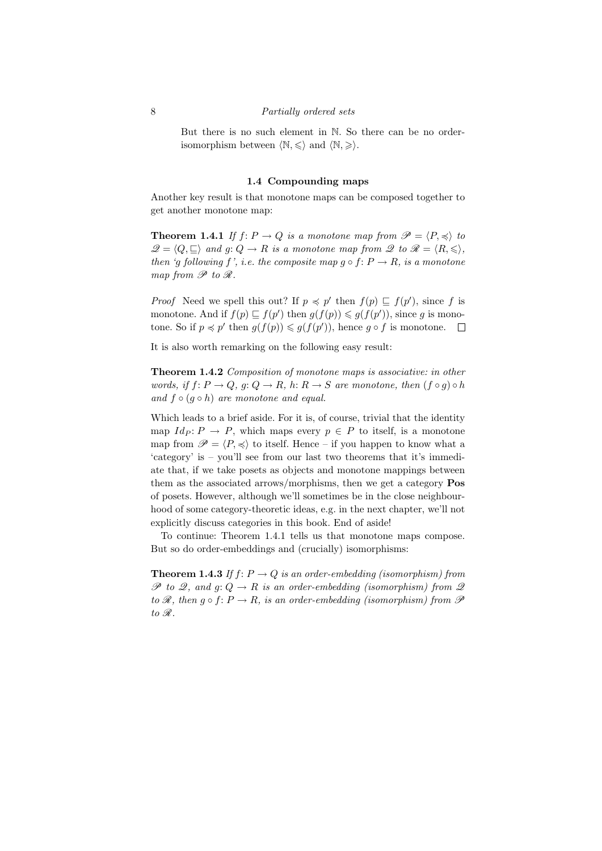### 8 Partially ordered sets

But there is no such element in N. So there can be no orderisomorphism between  $\langle \mathbb{N}, \leq \rangle$  and  $\langle \mathbb{N}, \geq \rangle$ .

## 1.4 Compounding maps

Another key result is that monotone maps can be composed together to get another monotone map:

**Theorem 1.4.1** If  $f: P \to Q$  is a monotone map from  $\mathscr{P} = \langle P, \preccurlyeq \rangle$  to  $\mathscr{Q} = \langle Q, \sqsubseteq \rangle$  and  $g: Q \to R$  is a monotone map from  $\mathscr{Q}$  to  $\mathscr{R} = \langle R, \leqslant \rangle$ , then 'g following f', i.e. the composite map  $g \circ f: P \to R$ , is a monotone map from  $\mathscr P$  to  $\mathscr R$ .

*Proof* Need we spell this out? If  $p \preccurlyeq p'$  then  $f(p) \sqsubseteq f(p')$ , since f is monotone. And if  $f(p) \sqsubseteq f(p')$  then  $g(f(p)) \leq g(f(p'))$ , since g is monotone. So if  $p \preccurlyeq p'$  then  $g(f(p)) \leq g(f(p'))$ , hence  $g \circ f$  is monotone.

It is also worth remarking on the following easy result:

Theorem 1.4.2 Composition of monotone maps is associative: in other words, if  $f: P \to Q$ ,  $g: Q \to R$ ,  $h: R \to S$  are monotone, then  $(f \circ g) \circ h$ and  $f \circ (g \circ h)$  are monotone and equal.

Which leads to a brief aside. For it is, of course, trivial that the identity map  $Id_P: P \to P$ , which maps every  $p \in P$  to itself, is a monotone map from  $\mathscr{P} = \langle P, \preccurlyeq \rangle$  to itself. Hence – if you happen to know what a 'category' is – you'll see from our last two theorems that it's immediate that, if we take posets as objects and monotone mappings between them as the associated arrows/morphisms, then we get a category Pos of posets. However, although we'll sometimes be in the close neighbourhood of some category-theoretic ideas, e.g. in the next chapter, we'll not explicitly discuss categories in this book. End of aside!

To continue: Theorem 1.4.1 tells us that monotone maps compose. But so do order-embeddings and (crucially) isomorphisms:

**Theorem 1.4.3** If  $f: P \to Q$  is an order-embedding (isomorphism) from  $\mathscr P$  to 2, and  $g: Q \to R$  is an order-embedding (isomorphism) from 2 to  $\mathscr R$ , then  $g \circ f: P \to R$ , is an order-embedding (isomorphism) from  $\mathscr P$ to  $\mathscr R.$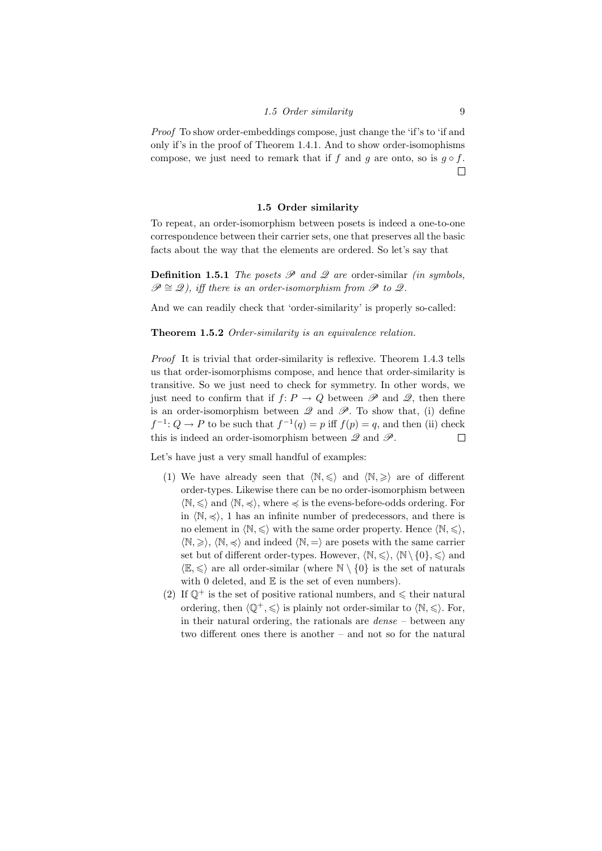## 1.5 Order similarity 9

Proof To show order-embeddings compose, just change the 'if's to 'if and only if's in the proof of Theorem 1.4.1. And to show order-isomophisms compose, we just need to remark that if f and g are onto, so is  $g \circ f$ .  $\Box$ 

### 1.5 Order similarity

To repeat, an order-isomorphism between posets is indeed a one-to-one correspondence between their carrier sets, one that preserves all the basic facts about the way that the elements are ordered. So let's say that

**Definition 1.5.1** The posets  $\mathscr P$  and  $\mathscr Q$  are order-similar *(in symbols,*  $\mathscr{P} \cong \mathscr{Q}$ , iff there is an order-isomorphism from  $\mathscr{P}$  to  $\mathscr{Q}$ .

And we can readily check that 'order-similarity' is properly so-called:

### Theorem 1.5.2 Order-similarity is an equivalence relation.

Proof It is trivial that order-similarity is reflexive. Theorem 1.4.3 tells us that order-isomorphisms compose, and hence that order-similarity is transitive. So we just need to check for symmetry. In other words, we just need to confirm that if  $f: P \to Q$  between  $\mathscr P$  and  $\mathscr Q$ , then there is an order-isomorphism between  $\mathscr Q$  and  $\mathscr P$ . To show that, (i) define  $f^{-1}: Q \to P$  to be such that  $f^{-1}(q) = p$  iff  $f(p) = q$ , and then (ii) check this is indeed an order-isomorphism between  $\mathscr Q$  and  $\mathscr P$ .  $\Box$ 

Let's have just a very small handful of examples:

- (1) We have already seen that  $\langle \mathbb{N}, \leq \rangle$  and  $\langle \mathbb{N}, \geq \rangle$  are of different order-types. Likewise there can be no order-isomorphism between  $\langle \mathbb{N}, \leq \rangle$  and  $\langle \mathbb{N}, \preceq \rangle$ , where  $\preceq$  is the evens-before-odds ordering. For in  $\langle \mathbb{N}, \preceq \rangle$ , 1 has an infinite number of predecessors, and there is no element in  $\langle \mathbb{N}, \leq \rangle$  with the same order property. Hence  $\langle \mathbb{N}, \leq \rangle$ ,  $\langle \mathbb{N}, \geq \rangle$ ,  $\langle \mathbb{N}, \preceq \rangle$  and indeed  $\langle \mathbb{N}, \preceq \rangle$  are posets with the same carrier set but of different order-types. However,  $\langle \mathbb{N}, \leq \rangle$ ,  $\langle \mathbb{N} \setminus \{0\}, \leq \rangle$  and  $\langle \mathbb{E}, \leq \rangle$  are all order-similar (where  $\mathbb{N} \setminus \{0\}$  is the set of naturals with 0 deleted, and  $E$  is the set of even numbers).
- (2) If  $\mathbb{O}^+$  is the set of positive rational numbers, and  $\leq$  their natural ordering, then  $\langle \mathbb{Q}^+, \leq \rangle$  is plainly not order-similar to  $\langle \mathbb{N}, \leq \rangle$ . For, in their natural ordering, the rationals are  $dense - between$  any two different ones there is another – and not so for the natural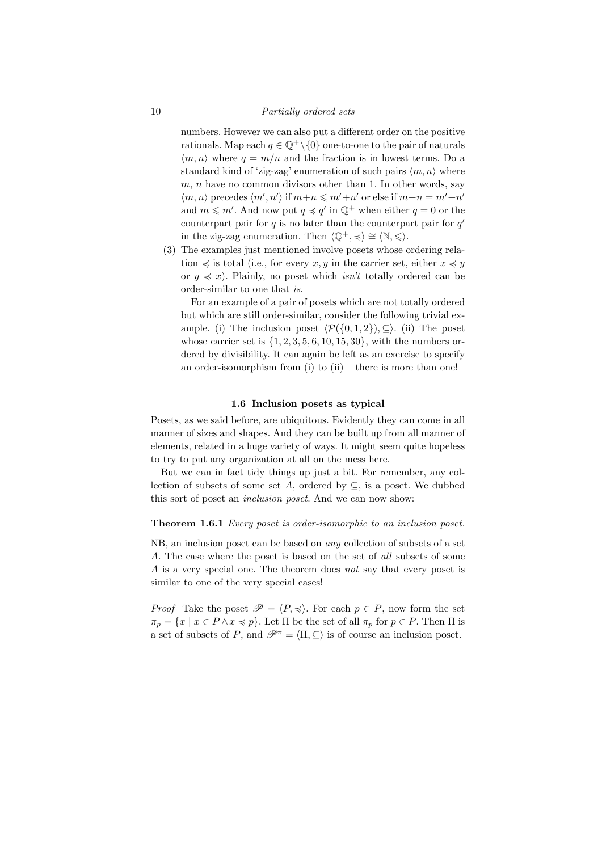### 10 Partially ordered sets

numbers. However we can also put a different order on the positive rationals. Map each  $q \in \mathbb{Q}^+\backslash \{0\}$  one-to-one to the pair of naturals  $\langle m, n \rangle$  where  $q = m/n$  and the fraction is in lowest terms. Do a standard kind of 'zig-zag' enumeration of such pairs  $\langle m, n \rangle$  where  $m, n$  have no common divisors other than 1. In other words, say  $\langle m, n \rangle$  precedes  $\langle m', n' \rangle$  if  $m+n \leq m'+n'$  or else if  $m+n = m'+n'$ and  $m \leq m'$ . And now put  $q \leq q'$  in  $\mathbb{Q}^+$  when either  $q = 0$  or the counterpart pair for  $q$  is no later than the counterpart pair for  $q'$ in the zig-zag enumeration. Then  $\langle \mathbb{Q}^+, \preccurlyeq \rangle \cong \langle \mathbb{N}, \leq \rangle$ .

(3) The examples just mentioned involve posets whose ordering relation  $\preccurlyeq$  is total (i.e., for every  $x, y$  in the carrier set, either  $x \preccurlyeq y$ or  $y \preccurlyeq x$ ). Plainly, no poset which *isn't* totally ordered can be order-similar to one that is.

For an example of a pair of posets which are not totally ordered but which are still order-similar, consider the following trivial example. (i) The inclusion poset  $\langle \mathcal{P}(\{0, 1, 2\}), \subseteq \rangle$ . (ii) The poset whose carrier set is  $\{1, 2, 3, 5, 6, 10, 15, 30\}$ , with the numbers ordered by divisibility. It can again be left as an exercise to specify an order-isomorphism from (i) to  $(ii)$  – there is more than one!

### 1.6 Inclusion posets as typical

Posets, as we said before, are ubiquitous. Evidently they can come in all manner of sizes and shapes. And they can be built up from all manner of elements, related in a huge variety of ways. It might seem quite hopeless to try to put any organization at all on the mess here.

But we can in fact tidy things up just a bit. For remember, any collection of subsets of some set A, ordered by  $\subseteq$ , is a poset. We dubbed this sort of poset an inclusion poset. And we can now show:

### Theorem 1.6.1 Every poset is order-isomorphic to an inclusion poset.

NB, an inclusion poset can be based on any collection of subsets of a set A. The case where the poset is based on the set of all subsets of some A is a very special one. The theorem does not say that every poset is similar to one of the very special cases!

*Proof* Take the poset  $\mathscr{P} = \langle P, \preccurlyeq \rangle$ . For each  $p \in P$ , now form the set  $\pi_p = \{x \mid x \in P \land x \preccurlyeq p\}.$  Let  $\Pi$  be the set of all  $\pi_p$  for  $p \in P$ . Then  $\Pi$  is a set of subsets of P, and  $\mathscr{P}^{\pi} = \langle \Pi, \subseteq \rangle$  is of course an inclusion poset.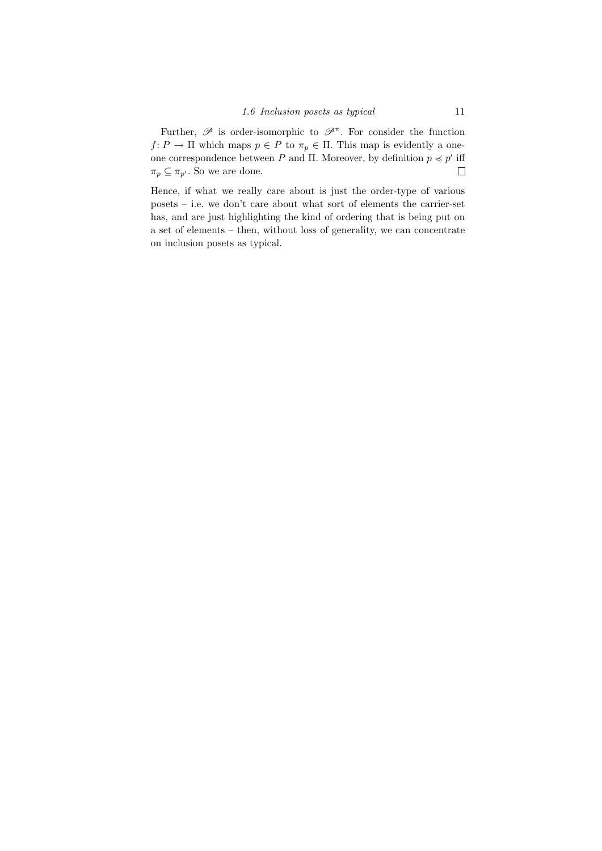Further,  $\mathscr P$  is order-isomorphic to  $\mathscr P^{\pi}$ . For consider the function  $f: P \to \Pi$  which maps  $p \in P$  to  $\pi_p \in \Pi$ . This map is evidently a oneone correspondence between P and Π. Moreover, by definition  $p \preccurlyeq p'$  iff  $\pi_p \subseteq \pi_{p'}$ . So we are done.  $\Box$ 

Hence, if what we really care about is just the order-type of various posets – i.e. we don't care about what sort of elements the carrier-set has, and are just highlighting the kind of ordering that is being put on a set of elements – then, without loss of generality, we can concentrate on inclusion posets as typical.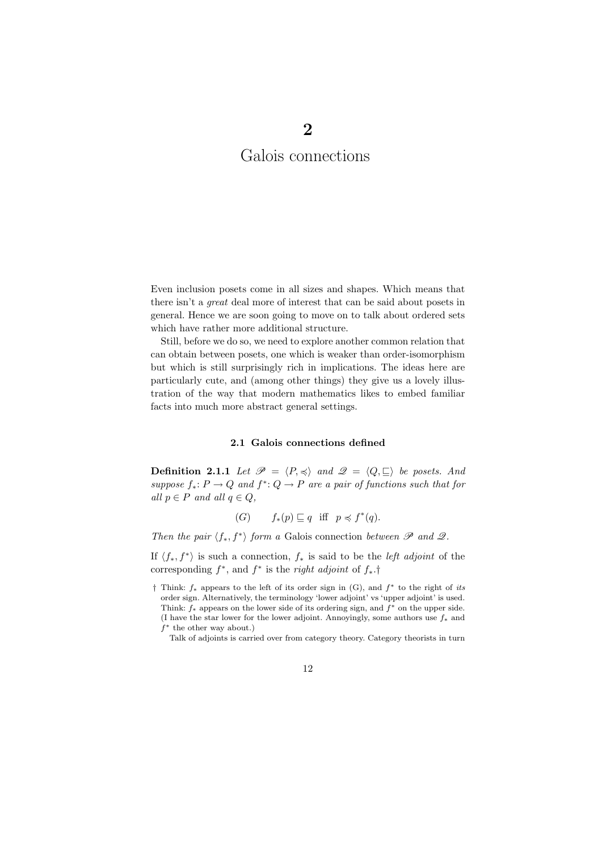# Galois connections

2

Even inclusion posets come in all sizes and shapes. Which means that there isn't a great deal more of interest that can be said about posets in general. Hence we are soon going to move on to talk about ordered sets which have rather more additional structure.

Still, before we do so, we need to explore another common relation that can obtain between posets, one which is weaker than order-isomorphism but which is still surprisingly rich in implications. The ideas here are particularly cute, and (among other things) they give us a lovely illustration of the way that modern mathematics likes to embed familiar facts into much more abstract general settings.

### 2.1 Galois connections defined

**Definition 2.1.1** Let  $\mathcal{P} = \langle P, \preccurlyeq \rangle$  and  $\mathcal{Q} = \langle Q, \sqsubseteq \rangle$  be posets. And suppose  $f_*: P \to Q$  and  $f^*: Q \to P$  are a pair of functions such that for all  $p \in P$  and all  $q \in Q$ ,

$$
(G) \t f_*(p) \sqsubseteq q \text{ iff } p \preccurlyeq f^*(q).
$$

Then the pair  $\langle f_*, f^* \rangle$  form a Galois connection between  $\mathscr P$  and  $\mathscr Q$ .

If  $\langle f_*, f^* \rangle$  is such a connection,  $f_*$  is said to be the *left adjoint* of the corresponding  $f^*$ , and  $f^*$  is the *right adjoint* of  $f_*$ .†

<sup>†</sup> Think: f<sup>∗</sup> appears to the left of its order sign in (G), and f <sup>∗</sup> to the right of its order sign. Alternatively, the terminology 'lower adjoint' vs 'upper adjoint' is used. Think:  $f_*$  appears on the lower side of its ordering sign, and  $f^*$  on the upper side. (I have the star lower for the lower adjoint. Annoyingly, some authors use  $f_*$  and  $f^*$  the other way about.)

Talk of adjoints is carried over from category theory. Category theorists in turn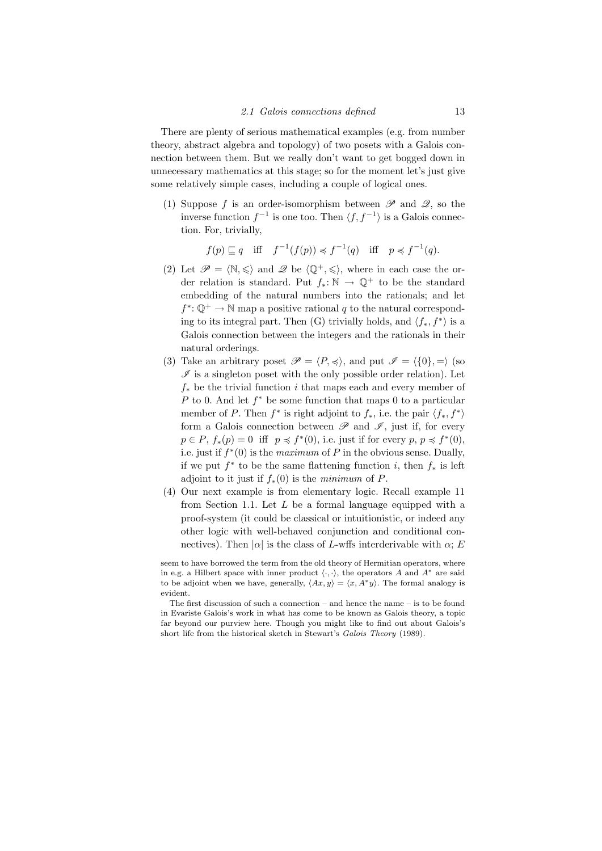There are plenty of serious mathematical examples (e.g. from number theory, abstract algebra and topology) of two posets with a Galois connection between them. But we really don't want to get bogged down in unnecessary mathematics at this stage; so for the moment let's just give some relatively simple cases, including a couple of logical ones.

(1) Suppose f is an order-isomorphism between  $\mathscr P$  and  $\mathscr Q$ , so the inverse function  $f^{-1}$  is one too. Then  $\langle f, f^{-1} \rangle$  is a Galois connection. For, trivially,

$$
f(p) \sqsubseteq q
$$
 iff  $f^{-1}(f(p)) \preccurlyeq f^{-1}(q)$  iff  $p \preccurlyeq f^{-1}(q)$ .

- (2) Let  $\mathscr{P} = \langle \mathbb{N}, \leq \rangle$  and  $\mathscr{Q}$  be  $\langle \mathbb{Q}^+, \leq \rangle$ , where in each case the order relation is standard. Put  $f_* : \mathbb{N} \to \mathbb{Q}^+$  to be the standard embedding of the natural numbers into the rationals; and let  $f^* \colon \mathbb{Q}^+ \to \mathbb{N}$  map a positive rational q to the natural corresponding to its integral part. Then (G) trivially holds, and  $\langle f_*, f^* \rangle$  is a Galois connection between the integers and the rationals in their natural orderings.
- (3) Take an arbitrary poset  $\mathscr{P} = \langle P, \preccurlyeq \rangle$ , and put  $\mathscr{I} = \langle \{0\}, \Rightarrow \rangle$  (so  $\mathscr I$  is a singleton poset with the only possible order relation). Let  $f_*$  be the trivial function i that maps each and every member of P to 0. And let  $f^*$  be some function that maps 0 to a particular member of P. Then  $f^*$  is right adjoint to  $f_*$ , i.e. the pair  $\langle f_*, f^* \rangle$ form a Galois connection between  $\mathscr P$  and  $\mathscr I$ , just if, for every  $p \in P$ ,  $f_*(p) = 0$  iff  $p \preccurlyeq f^*(0)$ , i.e. just if for every  $p, p \preccurlyeq f^*(0)$ , i.e. just if  $f^*(0)$  is the *maximum* of P in the obvious sense. Dually, if we put  $f^*$  to be the same flattening function i, then  $f_*$  is left adjoint to it just if  $f_*(0)$  is the minimum of P.
- (4) Our next example is from elementary logic. Recall example 11 from Section 1.1. Let  $L$  be a formal language equipped with a proof-system (it could be classical or intuitionistic, or indeed any other logic with well-behaved conjunction and conditional connectives). Then  $|\alpha|$  is the class of L-wffs interderivable with  $\alpha$ ; E

seem to have borrowed the term from the old theory of Hermitian operators, where in e.g. a Hilbert space with inner product  $\langle \cdot, \cdot \rangle$ , the operators A and A<sup>\*</sup> are said to be adjoint when we have, generally,  $\langle Ax, y \rangle = \langle x, A^*y \rangle$ . The formal analogy is evident.

The first discussion of such a connection – and hence the name – is to be found in Evariste Galois's work in what has come to be known as Galois theory, a topic far beyond our purview here. Though you might like to find out about Galois's short life from the historical sketch in Stewart's Galois Theory (1989).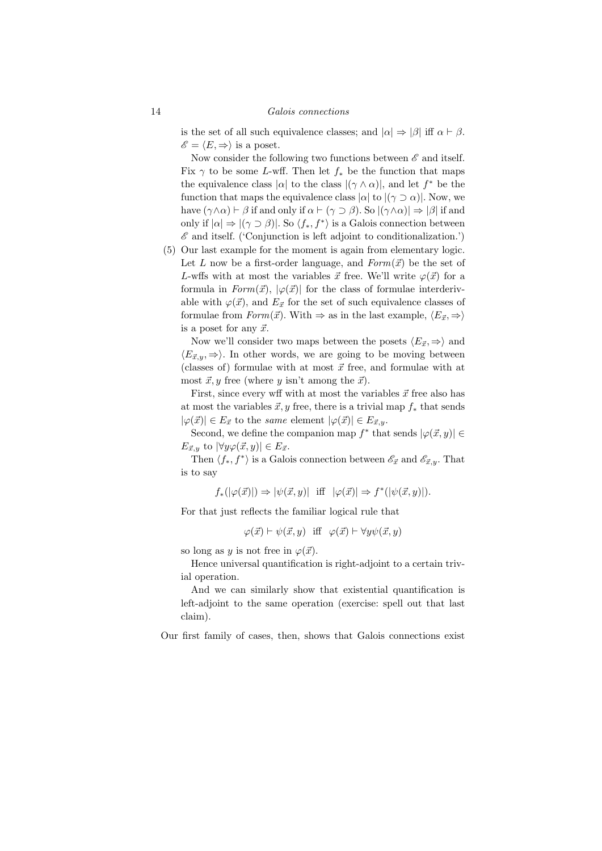is the set of all such equivalence classes; and  $|\alpha| \Rightarrow |\beta|$  iff  $\alpha \vdash \beta$ .  $\mathscr{E} = \langle E, \Rightarrow \rangle$  is a poset.

Now consider the following two functions between  $\mathscr E$  and itself. Fix  $\gamma$  to be some L-wff. Then let  $f_*$  be the function that maps the equivalence class  $|\alpha|$  to the class  $|(\gamma \wedge \alpha)|$ , and let  $f^*$  be the function that maps the equivalence class  $|\alpha|$  to  $|(\gamma \supset \alpha)|$ . Now, we have  $(\gamma \wedge \alpha) \vdash \beta$  if and only if  $\alpha \vdash (\gamma \supset \beta)$ . So  $|(\gamma \wedge \alpha)| \Rightarrow |\beta|$  if and only if  $|\alpha| \Rightarrow |(\gamma \supset \beta)|$ . So  $\langle f_*, f^* \rangle$  is a Galois connection between  $\mathscr E$  and itself. ('Conjunction is left adjoint to conditionalization.')

(5) Our last example for the moment is again from elementary logic. Let L now be a first-order language, and  $Form(\vec{x})$  be the set of L-wffs with at most the variables  $\vec{x}$  free. We'll write  $\varphi(\vec{x})$  for a formula in  $Form(\vec{x})$ ,  $|\varphi(\vec{x})|$  for the class of formulae interderivable with  $\varphi(\vec{x})$ , and  $E_{\vec{x}}$  for the set of such equivalence classes of formulae from  $Form(\vec{x})$ . With  $\Rightarrow$  as in the last example,  $\langle E_{\vec{x}}, \Rightarrow \rangle$ is a poset for any  $\vec{x}$ .

Now we'll consider two maps between the posets  $\langle E_{\vec{x}}, \Rightarrow \rangle$  and  $\langle E_{\vec{x},y}, \Rightarrow \rangle$ . In other words, we are going to be moving between (classes of) formulae with at most  $\vec{x}$  free, and formulae with at most  $\vec{x}, y$  free (where y isn't among the  $\vec{x}$ ).

First, since every wff with at most the variables  $\vec{x}$  free also has at most the variables  $\vec{x}, y$  free, there is a trivial map  $f_*$  that sends  $|\varphi(\vec{x})| \in E_{\vec{x}}$  to the same element  $|\varphi(\vec{x})| \in E_{\vec{x},y}$ .

Second, we define the companion map  $f^*$  that sends  $|\varphi(\vec{x}, y)| \in$  $E_{\vec{x},y}$  to  $|\forall y \varphi(\vec{x}, y)| \in E_{\vec{x}}$ .

Then  $\langle f_*, f^* \rangle$  is a Galois connection between  $\mathscr{E}_{\vec{x}}$  and  $\mathscr{E}_{\vec{x},y}$ . That is to say

 $f_*(|\varphi(\vec{x})|) \Rightarrow |\psi(\vec{x}, y)| \text{ iff } |\varphi(\vec{x})| \Rightarrow f^*(|\psi(\vec{x}, y)|).$ 

For that just reflects the familiar logical rule that

 $\varphi(\vec{x}) \vdash \psi(\vec{x}, y)$  iff  $\varphi(\vec{x}) \vdash \forall y \psi(\vec{x}, y)$ 

so long as y is not free in  $\varphi(\vec{x})$ .

Hence universal quantification is right-adjoint to a certain trivial operation.

And we can similarly show that existential quantification is left-adjoint to the same operation (exercise: spell out that last claim).

Our first family of cases, then, shows that Galois connections exist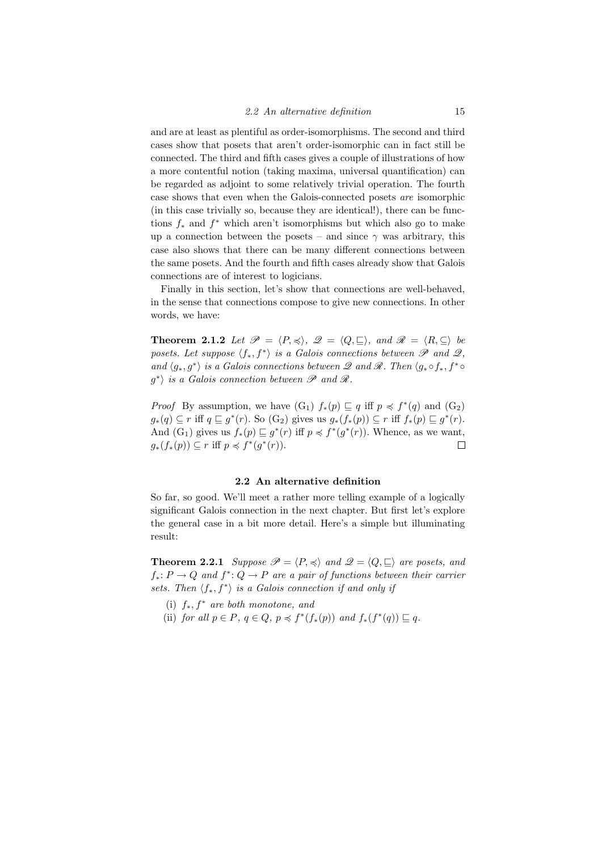and are at least as plentiful as order-isomorphisms. The second and third cases show that posets that aren't order-isomorphic can in fact still be connected. The third and fifth cases gives a couple of illustrations of how a more contentful notion (taking maxima, universal quantification) can be regarded as adjoint to some relatively trivial operation. The fourth case shows that even when the Galois-connected posets are isomorphic (in this case trivially so, because they are identical!), there can be functions  $f_*$  and  $f^*$  which aren't isomorphisms but which also go to make up a connection between the posets – and since  $\gamma$  was arbitrary, this case also shows that there can be many different connections between the same posets. And the fourth and fifth cases already show that Galois connections are of interest to logicians.

Finally in this section, let's show that connections are well-behaved, in the sense that connections compose to give new connections. In other words, we have:

**Theorem 2.1.2** Let  $\mathcal{P} = \langle P, \preccurlyeq \rangle$ ,  $\mathcal{Q} = \langle Q, \sqsubseteq \rangle$ , and  $\mathcal{R} = \langle R, \subseteq \rangle$  be posets. Let suppose  $\langle f_*, f^* \rangle$  is a Galois connections between  $\mathscr P$  and  $\mathscr Q$ , and  $\langle g_*, g^* \rangle$  is a Galois connections between  $\mathscr Q$  and  $\mathscr R$ . Then  $\langle g_* \circ f_*, f^* \circ$  $g^*$  is a Galois connection between  $\mathscr P$  and  $\mathscr R$ .

*Proof* By assumption, we have  $(G_1)$   $f_*(p) \sqsubseteq q$  iff  $p \preccurlyeq f^*(q)$  and  $(G_2)$  $g_*(q) \subseteq r$  iff  $q \sqsubseteq g^*(r)$ . So  $(G_2)$  gives us  $g_*(f_*(p)) \subseteq r$  iff  $f_*(p) \sqsubseteq g^*(r)$ . And  $(G_1)$  gives us  $f_*(p) \sqsubseteq g^*(r)$  iff  $p \preccurlyeq f^*(g^*(r))$ . Whence, as we want,  $g_*(f_*(p)) \subseteq r$  iff  $p \preccurlyeq f^*(g^*(r)).$  $\Box$ 

### 2.2 An alternative definition

So far, so good. We'll meet a rather more telling example of a logically significant Galois connection in the next chapter. But first let's explore the general case in a bit more detail. Here's a simple but illuminating result:

**Theorem 2.2.1** Suppose  $\mathcal{P} = \langle P, \preccurlyeq \rangle$  and  $\mathcal{Q} = \langle Q, \sqsubseteq \rangle$  are posets, and  $f_*: P \to Q$  and  $f^*: Q \to P$  are a pair of functions between their carrier sets. Then  $\langle f_*, f^* \rangle$  is a Galois connection if and only if

- (i)  $f_*$ ,  $f^*$  are both monotone, and
- (ii) for all  $p \in P$ ,  $q \in Q$ ,  $p \preccurlyeq f^*(f_*(p))$  and  $f_*(f^*(q)) \sqsubseteq q$ .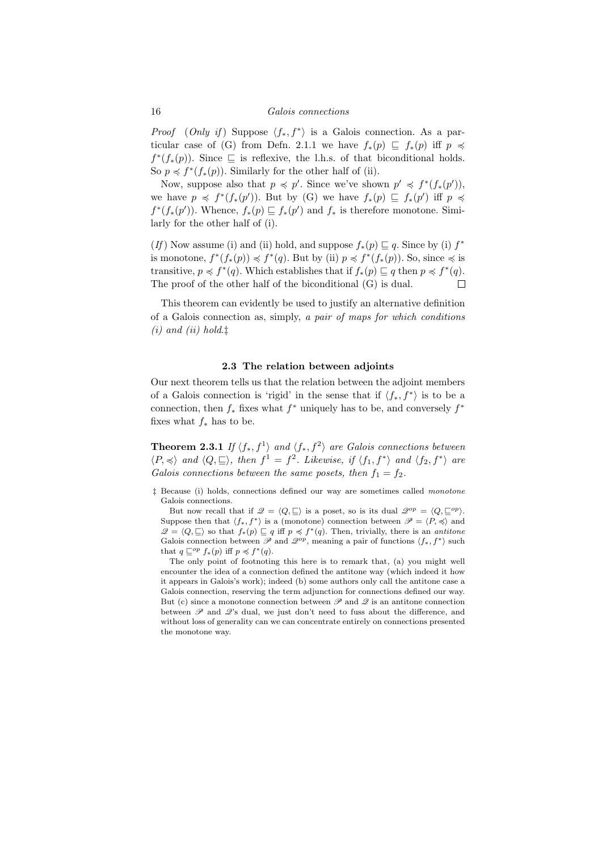*Proof* (Only if) Suppose  $\langle f_*, f^* \rangle$  is a Galois connection. As a particular case of (G) from Defn. 2.1.1 we have  $f_*(p) \subseteq f_*(p)$  iff  $p \preccurlyeq$  $f^*(f_*(p))$ . Since  $\subseteq$  is reflexive, the l.h.s. of that biconditional holds. So  $p \preccurlyeq f^*(f_*(p))$ . Similarly for the other half of (ii).

Now, suppose also that  $p \preccurlyeq p'$ . Since we've shown  $p' \preccurlyeq f^*(f_*(p'))$ , we have  $p \preccurlyeq f^*(f_*(p'))$ . But by (G) we have  $f_*(p) \sqsubseteq f_*(p')$  iff  $p \preccurlyeq$  $f^*(f_*(p'))$ . Whence,  $f_*(p) \sqsubseteq f_*(p')$  and  $f_*$  is therefore monotone. Similarly for the other half of (i).

(If) Now assume (i) and (ii) hold, and suppose  $f_*(p) \sqsubseteq q$ . Since by (i)  $f^*$ is monotone,  $f^*(f_*(p)) \preccurlyeq f^*(q)$ . But by (ii)  $p \preccurlyeq f^*(f_*(p))$ . So, since  $\preccurlyeq$  is transitive,  $p \preccurlyeq f^*(q)$ . Which establishes that if  $f_*(p) \sqsubseteq q$  then  $p \preccurlyeq f^*(q)$ . The proof of the other half of the biconditional (G) is dual.  $\Box$ 

This theorem can evidently be used to justify an alternative definition of a Galois connection as, simply, a pair of maps for which conditions  $(i)$  and  $(ii)$  hold. $\ddagger$ 

### 2.3 The relation between adjoints

Our next theorem tells us that the relation between the adjoint members of a Galois connection is 'rigid' in the sense that if  $\langle f_*, f^* \rangle$  is to be a connection, then  $f_*$  fixes what  $f^*$  uniquely has to be, and conversely  $f^*$ fixes what  $f_*$  has to be.

**Theorem 2.3.1** If  $\langle f_*, f^1 \rangle$  and  $\langle f_*, f^2 \rangle$  are Galois connections between  $\langle P, \preccurlyeq \rangle$  and  $\langle Q, \sqsubseteq \rangle$ , then  $f^1 = f^2$ . Likewise, if  $\langle f_1, f^* \rangle$  and  $\langle f_2, f^* \rangle$  are Galois connections between the same posets, then  $f_1 = f_2$ .

‡ Because (i) holds, connections defined our way are sometimes called monotone Galois connections.

But now recall that if  $\mathscr{Q} = \langle Q, \sqsubseteq \rangle$  is a poset, so is its dual  $\mathscr{Q}^{op} = \langle Q, \sqsubseteq^{op} \rangle$ . Suppose then that  $\langle f_*, f^* \rangle$  is a (monotone) connection between  $\mathscr{P} = \langle P, \preccurlyeq \rangle$  and  $\mathscr{Q} = \langle Q, \sqsubseteq \rangle$  so that  $f_*(p) \sqsubseteq q$  iff  $p \preccurlyeq f^*(q)$ . Then, trivially, there is an antitone Galois connection between  $\mathscr P$  and  $\mathscr{Q}^{op}$ , meaning a pair of functions  $\langle f_*, f^* \rangle$  such that  $q \sqsubseteq^{op} f_*(p)$  iff  $p \preccurlyeq f^*(q)$ .

The only point of footnoting this here is to remark that, (a) you might well encounter the idea of a connection defined the antitone way (which indeed it how it appears in Galois's work); indeed (b) some authors only call the antitone case a Galois connection, reserving the term adjunction for connections defined our way. But (c) since a monotone connection between  $\mathscr P$  and  $\mathscr Q$  is an antitone connection between  $\mathscr P$  and  $\mathscr Q$ 's dual, we just don't need to fuss about the difference, and without loss of generality can we can concentrate entirely on connections presented the monotone way.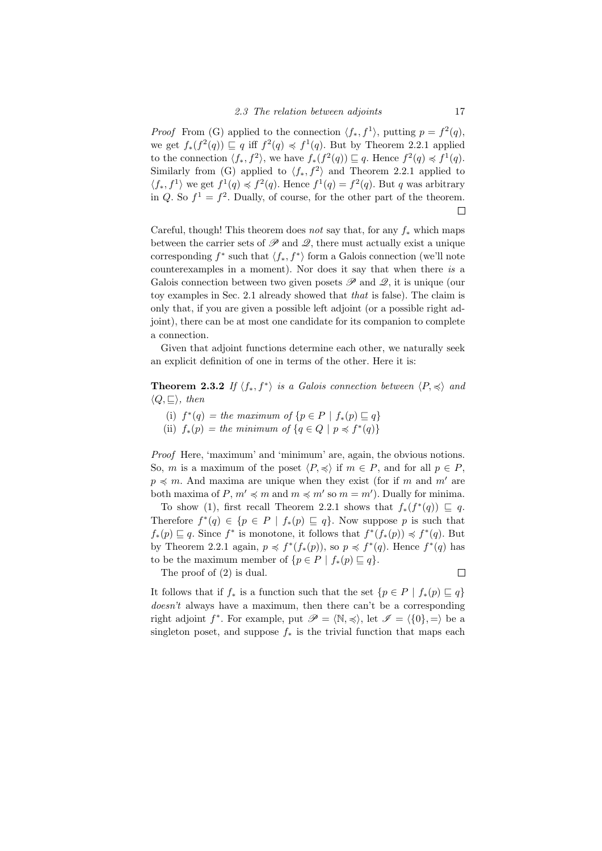*Proof* From (G) applied to the connection  $\langle f_*, f^1 \rangle$ , putting  $p = f^2(q)$ , we get  $f_*(f^2(q)) \sqsubseteq q$  iff  $f^2(q) \preccurlyeq f^1(q)$ . But by Theorem 2.2.1 applied to the connection  $\langle f_*, f^2 \rangle$ , we have  $f_*(f^2(q)) \sqsubseteq q$ . Hence  $f^2(q) \preccurlyeq f^1(q)$ . Similarly from (G) applied to  $\langle f_*, f^2 \rangle$  and Theorem 2.2.1 applied to  $\langle f_*, f^1 \rangle$  we get  $f^1(q) \preccurlyeq f^2(q)$ . Hence  $f^1(q) = f^2(q)$ . But q was arbitrary in Q. So  $f^1 = f^2$ . Dually, of course, for the other part of the theorem.  $\Box$ 

Careful, though! This theorem does not say that, for any  $f_*$  which maps between the carrier sets of  $\mathscr P$  and  $\mathscr Q$ , there must actually exist a unique corresponding  $f^*$  such that  $\langle f_*, f^* \rangle$  form a Galois connection (we'll note counterexamples in a moment). Nor does it say that when there is a Galois connection between two given posets  $\mathscr P$  and  $\mathscr Q$ , it is unique (our toy examples in Sec. 2.1 already showed that that is false). The claim is only that, if you are given a possible left adjoint (or a possible right adjoint), there can be at most one candidate for its companion to complete a connection.

Given that adjoint functions determine each other, we naturally seek an explicit definition of one in terms of the other. Here it is:

**Theorem 2.3.2** If  $\langle f_*, f^* \rangle$  is a Galois connection between  $\langle P, \preccurlyeq \rangle$  and  $\langle Q, \sqsubset \rangle$ , then

- (i)  $f^*(q) = the maximum of \{p \in P \mid f_*(p) \sqsubseteq q\}$
- (ii)  $f_*(p) = the minimum of \{q \in Q \mid p \preccurlyeq f^*(q)\}\$

Proof Here, 'maximum' and 'minimum' are, again, the obvious notions. So, m is a maximum of the poset  $\langle P, \preccurlyeq \rangle$  if  $m \in P$ , and for all  $p \in P$ ,  $p \preccurlyeq m$ . And maxima are unique when they exist (for if m and m' are both maxima of  $P, m' \preccurlyeq m$  and  $m \preccurlyeq m'$  so  $m = m'$ ). Dually for minima.

To show (1), first recall Theorem 2.2.1 shows that  $f_*(f^*(q)) \subseteq q$ . Therefore  $f^*(q) \in \{p \in P \mid f_*(p) \sqsubseteq q\}$ . Now suppose p is such that  $f_*(p) \sqsubseteq q$ . Since  $f^*$  is monotone, it follows that  $f^*(f_*(p)) \preccurlyeq f^*(q)$ . But by Theorem 2.2.1 again,  $p \preccurlyeq f^*(f_*(p))$ , so  $p \preccurlyeq f^*(q)$ . Hence  $f^*(q)$  has to be the maximum member of  $\{p \in P \mid f_*(p) \sqsubseteq q\}.$ 

The proof of (2) is dual.

 $\Box$ 

It follows that if  $f_*$  is a function such that the set  $\{p \in P \mid f_*(p) \sqsubseteq q\}$ doesn't always have a maximum, then there can't be a corresponding right adjoint  $f^*$ . For example, put  $\mathscr{P} = \langle \mathbb{N}, \preccurlyeq \rangle$ , let  $\mathscr{I} = \langle \{0\}, = \rangle$  be a singleton poset, and suppose  $f_*$  is the trivial function that maps each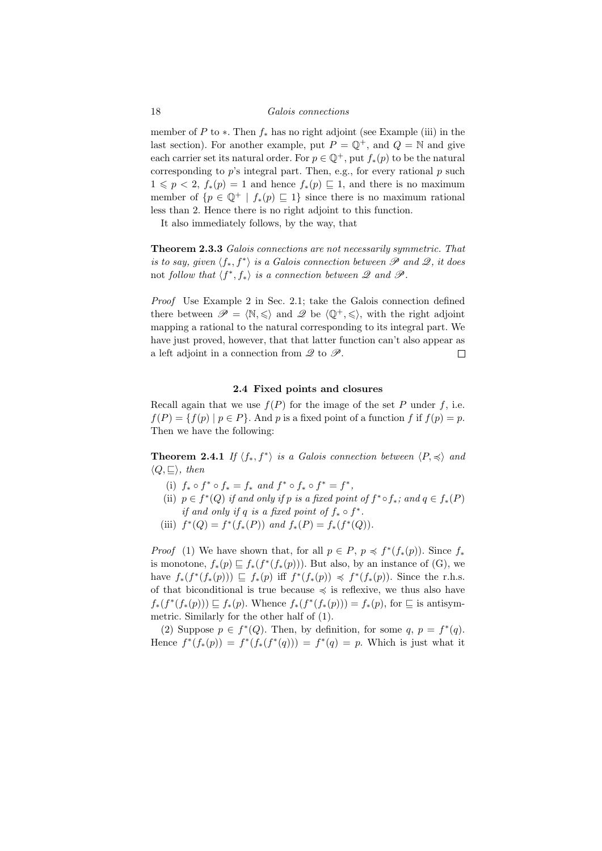### 18 Galois connections

member of P to  $*$ . Then  $f_*$  has no right adjoint (see Example (iii) in the last section). For another example, put  $P = \mathbb{Q}^+$ , and  $Q = \mathbb{N}$  and give each carrier set its natural order. For  $p \in \mathbb{Q}^+$ , put  $f_*(p)$  to be the natural corresponding to  $p$ 's integral part. Then, e.g., for every rational  $p$  such  $1 \leqslant p < 2$ ,  $f_*(p) = 1$  and hence  $f_*(p) \sqsubseteq 1$ , and there is no maximum member of  $\{p \in \mathbb{Q}^+ \mid f_*(p) \sqsubseteq 1\}$  since there is no maximum rational less than 2. Hence there is no right adjoint to this function.

It also immediately follows, by the way, that

Theorem 2.3.3 Galois connections are not necessarily symmetric. That is to say, given  $\langle f_*, f^* \rangle$  is a Galois connection between  $\mathscr P$  and  $\mathscr Q$ , it does not follow that  $\langle f^*, f_* \rangle$  is a connection between  $\mathscr Q$  and  $\mathscr P$ .

Proof Use Example 2 in Sec. 2.1; take the Galois connection defined there between  $\mathscr{P} = \langle \mathbb{N}, \leq \rangle$  and  $\mathscr{Q}$  be  $\langle \mathbb{Q}^+, \leq \rangle$ , with the right adjoint mapping a rational to the natural corresponding to its integral part. We have just proved, however, that that latter function can't also appear as a left adjoint in a connection from  $\mathscr Q$  to  $\mathscr P$ .  $\Box$ 

### 2.4 Fixed points and closures

Recall again that we use  $f(P)$  for the image of the set P under f, i.e.  $f(P) = \{f(p) \mid p \in P\}$ . And p is a fixed point of a function f if  $f(p) = p$ . Then we have the following:

**Theorem 2.4.1** If  $\langle f_*, f^* \rangle$  is a Galois connection between  $\langle P, \preccurlyeq \rangle$  and  $\langle Q, \sqsubseteq \rangle$ , then

- (i)  $f_* \circ f^* \circ f_* = f_*$  and  $f^* \circ f_* \circ f^* = f^*$ ,
- (ii)  $p \in f^*(Q)$  if and only if p is a fixed point of  $f^* \circ f_*$ ; and  $q \in f_*(P)$ if and only if q is a fixed point of  $f_* \circ f^*$ .
- (iii)  $f^*(Q) = f^*(f_*(P))$  and  $f_*(P) = f_*(f^*(Q)).$

*Proof* (1) We have shown that, for all  $p \in P$ ,  $p \preccurlyeq f^*(f_*(p))$ . Since  $f_*$ is monotone,  $f_*(p) \sqsubseteq f_*(f^*(f_*(p)))$ . But also, by an instance of (G), we have  $f_*(f^*(f_*(p))) \subseteq f_*(p)$  iff  $f^*(f_*(p)) \preccurlyeq f^*(f_*(p))$ . Since the r.h.s. of that biconditional is true because  $\preccurlyeq$  is reflexive, we thus also have  $f_*(f^*(f_*(p))) \sqsubseteq f_*(p)$ . Whence  $f_*(f^*(f_*(p))) = f_*(p)$ , for  $\sqsubseteq$  is antisymmetric. Similarly for the other half of (1).

(2) Suppose  $p \in f^*(Q)$ . Then, by definition, for some  $q, p = f^*(q)$ . Hence  $f^*(f_*(p)) = f^*(f_*(f^*(q))) = f^*(q) = p$ . Which is just what it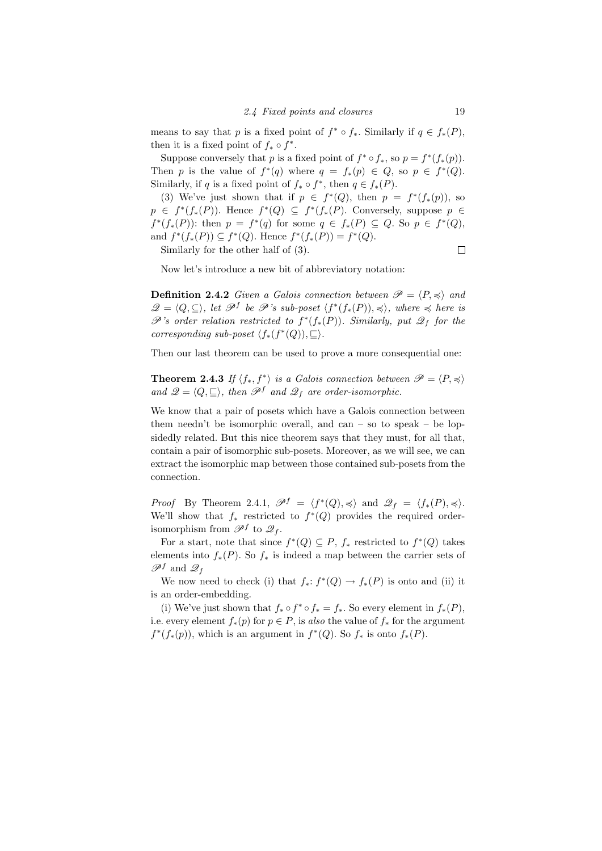means to say that p is a fixed point of  $f^* \circ f_*$ . Similarly if  $q \in f_*(P)$ , then it is a fixed point of  $f_* \circ f^*$ .

Suppose conversely that p is a fixed point of  $f^* \circ f_*,$  so  $p = f^*(f_*(p)).$ Then p is the value of  $f^*(q)$  where  $q = f_*(p) \in Q$ , so  $p \in f^*(Q)$ . Similarly, if q is a fixed point of  $f_* \circ f^*$ , then  $q \in f_*(P)$ .

(3) We've just shown that if  $p \in f^*(Q)$ , then  $p = f^*(f_*(p))$ , so  $p \in f^*(f_*(P))$ . Hence  $f^*(Q) \subseteq f^*(f_*(P)$ . Conversely, suppose  $p \in$  $f^*(f_*(P))$ : then  $p = f^*(q)$  for some  $q \in f_*(P) \subseteq Q$ . So  $p \in f^*(Q)$ , and  $f^*(f_*(P)) \subseteq f^*(Q)$ . Hence  $f^*(f_*(P)) = f^*(Q)$ .

Similarly for the other half of (3).

 $\Box$ 

Now let's introduce a new bit of abbreviatory notation:

**Definition 2.4.2** Given a Galois connection between  $\mathcal{P} = \langle P, \preccurlyeq \rangle$  and  $\mathscr{Q} = \langle Q, \subseteq \rangle$ , let  $\mathscr{P}^f$  be  $\mathscr{P}$ 's sub-poset  $\langle f^*(f_*(P)), \preccurlyeq \rangle$ , where  $\preccurlyeq$  here is  $\mathscr{P}'$ 's order relation restricted to  $f^*(f_*(P))$ . Similarly, put  $\mathscr{Q}_f$  for the corresponding sub-poset  $\langle f_*(f^*(Q)), \sqsubseteq \rangle$ .

Then our last theorem can be used to prove a more consequential one:

**Theorem 2.4.3** If  $\langle f_*, f^* \rangle$  is a Galois connection between  $\mathscr{P} = \langle P, \preccurlyeq \rangle$ and  $\mathscr{Q} = \langle Q, \sqsubseteq \rangle$ , then  $\mathscr{P}^f$  and  $\mathscr{Q}_f$  are order-isomorphic.

We know that a pair of posets which have a Galois connection between them needn't be isomorphic overall, and can – so to speak – be lopsidedly related. But this nice theorem says that they must, for all that, contain a pair of isomorphic sub-posets. Moreover, as we will see, we can extract the isomorphic map between those contained sub-posets from the connection.

*Proof* By Theorem 2.4.1,  $\mathscr{P}^f = \langle f^*(Q), \preccurlyeq \rangle$  and  $\mathscr{Q}_f = \langle f_*(P), \preccurlyeq \rangle$ . We'll show that  $f_*$  restricted to  $f^*(Q)$  provides the required orderisomorphism from  $\mathscr{P}^f$  to  $\mathscr{Q}_f$ .

For a start, note that since  $f^*(Q) \subseteq P$ ,  $f_*$  restricted to  $f^*(Q)$  takes elements into  $f_*(P)$ . So  $f_*$  is indeed a map between the carrier sets of  $\mathscr{P}^f$  and  $\mathscr{Q}_f$ 

We now need to check (i) that  $f_*: f^*(Q) \to f_*(P)$  is onto and (ii) it is an order-embedding.

(i) We've just shown that  $f_* \circ f^* \circ f_* = f_*$ . So every element in  $f_*(P)$ , i.e. every element  $f_*(p)$  for  $p \in P$ , is also the value of  $f_*$  for the argument  $f^*(f_*(p))$ , which is an argument in  $f^*(Q)$ . So  $f_*$  is onto  $f_*(P)$ .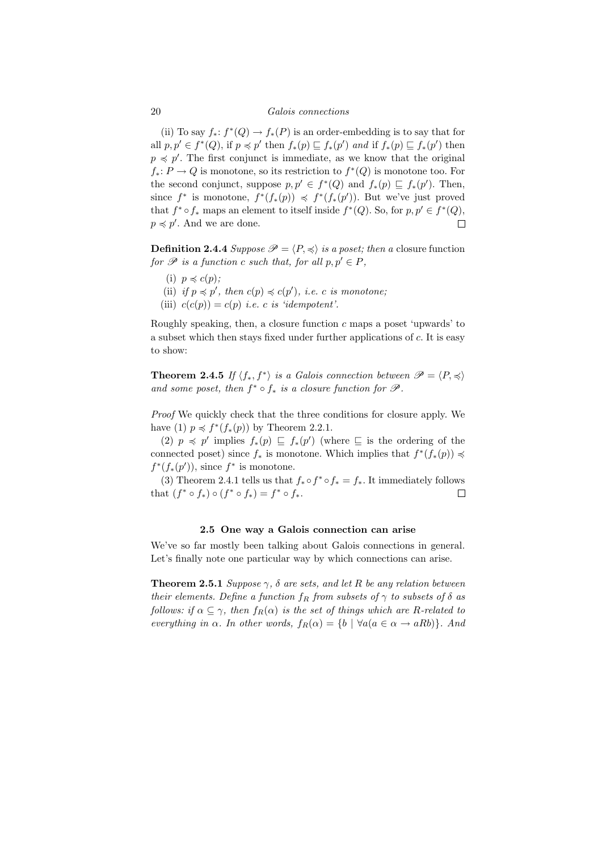### 20 Galois connections

(ii) To say  $f_*: f^*(Q) \to f_*(P)$  is an order-embedding is to say that for all  $p, p' \in f^*(Q)$ , if  $p \preccurlyeq p'$  then  $f_*(p) \sqsubseteq f_*(p')$  and if  $f_*(p) \sqsubseteq f_*(p')$  then  $p \preccurlyeq p'$ . The first conjunct is immediate, as we know that the original  $f_*: P \to Q$  is monotone, so its restriction to  $f^*(Q)$  is monotone too. For the second conjunct, suppose  $p, p' \in f^*(Q)$  and  $f_*(p) \sqsubseteq f_*(p')$ . Then, since  $f^*$  is monotone,  $f^*(f_*(p)) \preccurlyeq f^*(f_*(p'))$ . But we've just proved that  $f^* \circ f_*$  maps an element to itself inside  $f^*(Q)$ . So, for  $p, p' \in f^*(Q)$ ,  $p \preccurlyeq p'$ . And we are done.  $\Box$ 

**Definition 2.4.4** Suppose  $\mathcal{P} = \langle P, \preccurlyeq \rangle$  is a poset; then a closure function for  $\mathscr P$  is a function c such that, for all  $p, p' \in P$ ,

- (i)  $p \preccurlyeq c(p)$ ;
- (ii) if  $p \preccurlyeq p'$ , then  $c(p) \preccurlyeq c(p')$ , i.e. c is monotone;
- (iii)  $c(c(p)) = c(p)$  *i.e.* c *is 'idempotent'*.

Roughly speaking, then, a closure function  $c$  maps a poset 'upwards' to a subset which then stays fixed under further applications of c. It is easy to show:

**Theorem 2.4.5** If  $\langle f_*, f^* \rangle$  is a Galois connection between  $\mathscr{P} = \langle P, \preccurlyeq \rangle$ and some poset, then  $f^* \circ f_*$  is a closure function for  $\mathscr{P}$ .

Proof We quickly check that the three conditions for closure apply. We have (1)  $p \preccurlyeq f^*(f_*(p))$  by Theorem 2.2.1.

(2)  $p \preccurlyeq p'$  implies  $f_*(p) \sqsubseteq f_*(p')$  (where  $\sqsubseteq$  is the ordering of the connected poset) since  $f_*$  is monotone. Which implies that  $f^*(f_*(p)) \preccurlyeq$  $f^*(f_*(p'))$ , since  $f^*$  is monotone.

(3) Theorem 2.4.1 tells us that  $f_* \circ f^* \circ f_* = f_*$ . It immediately follows that  $(f^* \circ f_*) \circ (f^* \circ f_*) = f^* \circ f_*$ .  $\Box$ 

### 2.5 One way a Galois connection can arise

We've so far mostly been talking about Galois connections in general. Let's finally note one particular way by which connections can arise.

**Theorem 2.5.1** Suppose  $\gamma$ ,  $\delta$  are sets, and let R be any relation between their elements. Define a function  $f_R$  from subsets of  $\gamma$  to subsets of  $\delta$  as follows: if  $\alpha \subseteq \gamma$ , then  $f_R(\alpha)$  is the set of things which are R-related to everything in  $\alpha$ . In other words,  $f_R(\alpha) = \{b \mid \forall a (a \in \alpha \rightarrow aRb)\}.$  And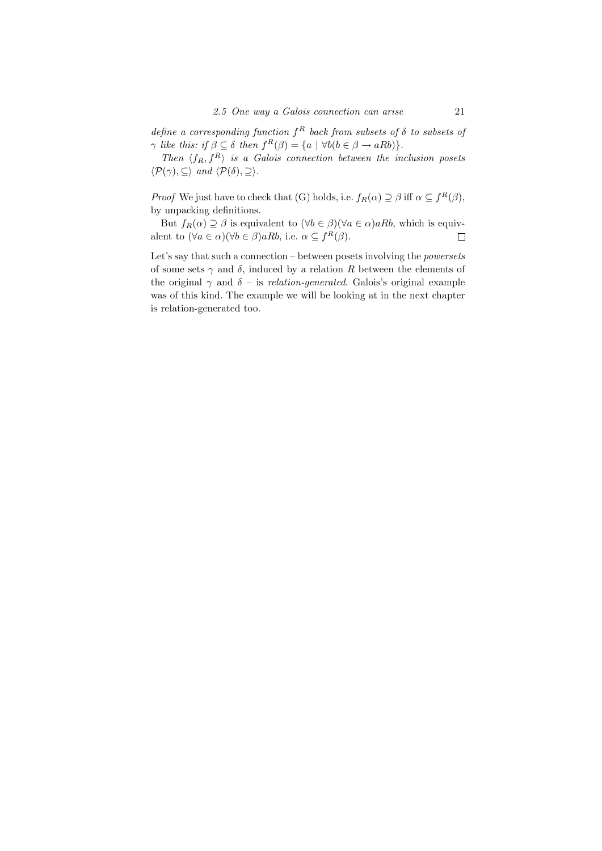define a corresponding function  $f^R$  back from subsets of  $\delta$  to subsets of  $\gamma$  like this: if  $\beta \subseteq \delta$  then  $f^R(\beta) = \{a \mid \forall b(b \in \beta \rightarrow aRb)\}.$ 

Then  $\langle f_R, f^R \rangle$  is a Galois connection between the inclusion posets  $\langle \mathcal{P}(\gamma), \subseteq \rangle$  and  $\langle \mathcal{P}(\delta), \supseteq \rangle$ .

*Proof* We just have to check that (G) holds, i.e.  $f_R(\alpha) \supseteq \beta$  iff  $\alpha \subseteq f^R(\beta)$ , by unpacking definitions.

But  $f_R(\alpha) \supseteq \beta$  is equivalent to  $(\forall b \in \beta)(\forall a \in \alpha)aRb$ , which is equivalent to  $(\forall a \in \alpha)(\forall b \in \beta)aRb$ , i.e.  $\alpha \subseteq f^R(\beta)$ .  $\Box$ 

Let's say that such a connection – between posets involving the powersets of some sets  $\gamma$  and  $\delta$ , induced by a relation R between the elements of the original  $\gamma$  and  $\delta$  – is relation-generated. Galois's original example was of this kind. The example we will be looking at in the next chapter is relation-generated too.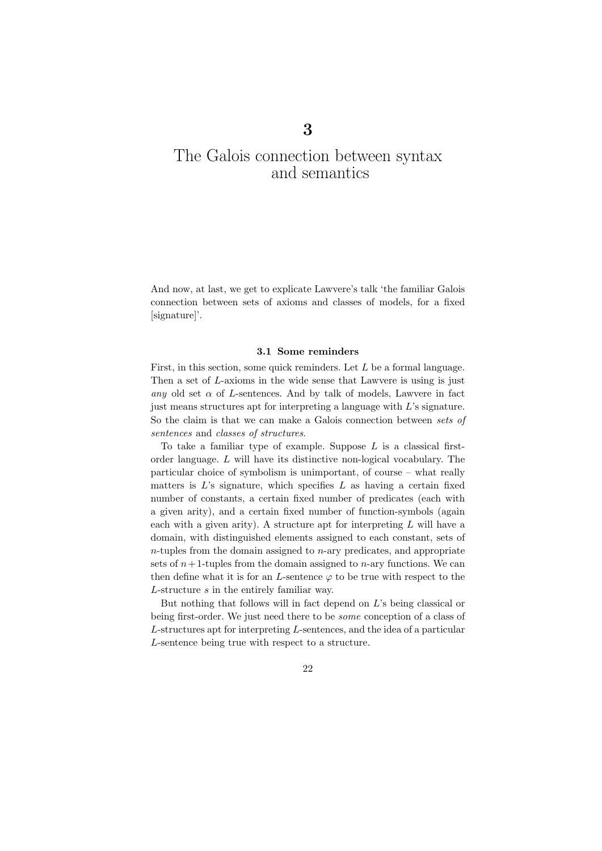# The Galois connection between syntax and semantics

3

And now, at last, we get to explicate Lawvere's talk 'the familiar Galois connection between sets of axioms and classes of models, for a fixed [signature]'.

### 3.1 Some reminders

First, in this section, some quick reminders. Let L be a formal language. Then a set of L-axioms in the wide sense that Lawvere is using is just any old set  $\alpha$  of L-sentences. And by talk of models, Lawvere in fact just means structures apt for interpreting a language with L's signature. So the claim is that we can make a Galois connection between sets of sentences and classes of structures.

To take a familiar type of example. Suppose  $L$  is a classical firstorder language. L will have its distinctive non-logical vocabulary. The particular choice of symbolism is unimportant, of course – what really matters is  $L$ 's signature, which specifies  $L$  as having a certain fixed number of constants, a certain fixed number of predicates (each with a given arity), and a certain fixed number of function-symbols (again each with a given arity). A structure apt for interpreting  $L$  will have a domain, with distinguished elements assigned to each constant, sets of  $n$ -tuples from the domain assigned to  $n$ -ary predicates, and appropriate sets of  $n+1$ -tuples from the domain assigned to n-ary functions. We can then define what it is for an L-sentence  $\varphi$  to be true with respect to the L-structure s in the entirely familiar way.

But nothing that follows will in fact depend on  $L$ 's being classical or being first-order. We just need there to be some conception of a class of L-structures apt for interpreting L-sentences, and the idea of a particular L-sentence being true with respect to a structure.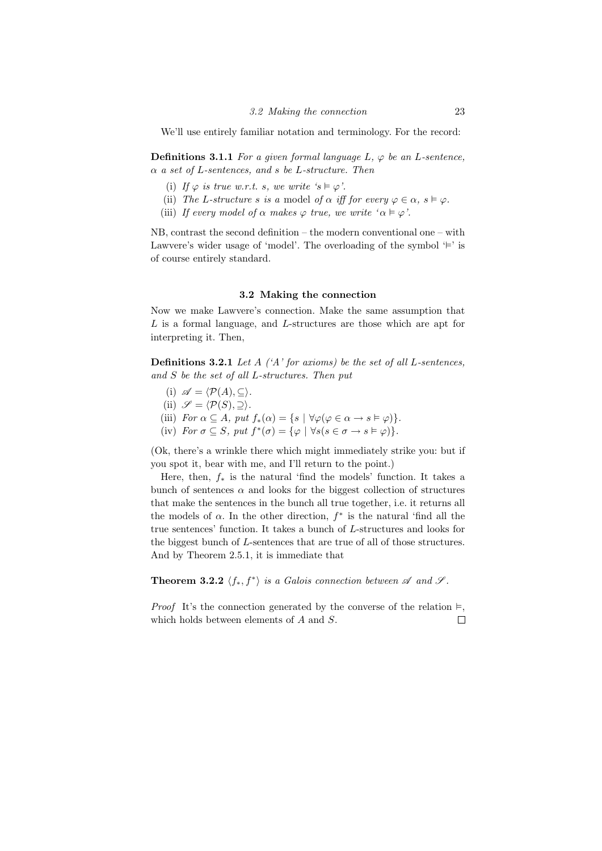We'll use entirely familiar notation and terminology. For the record:

**Definitions 3.1.1** For a given formal language  $L$ ,  $\varphi$  be an L-sentence,  $\alpha$  a set of L-sentences, and s be L-structure. Then

- (i) If  $\varphi$  is true w.r.t. s, we write 's  $\models \varphi$ '.
- (ii) The L-structure s is a model of  $\alpha$  iff for every  $\varphi \in \alpha$ ,  $s \models \varphi$ .
- (iii) If every model of  $\alpha$  makes  $\varphi$  true, we write ' $\alpha \models \varphi'$ .

NB, contrast the second definition – the modern conventional one – with Lawvere's wider usage of 'model'. The overloading of the symbol  $\equiv$ ' is of course entirely standard.

### 3.2 Making the connection

Now we make Lawvere's connection. Make the same assumption that  $L$  is a formal language, and  $L$ -structures are those which are apt for interpreting it. Then,

**Definitions 3.2.1** Let  $A$  (' $A$ ' for axioms) be the set of all L-sentences, and S be the set of all L-structures. Then put

- (i)  $\mathscr{A} = \langle \mathcal{P}(A), \subseteq \rangle$ .
- (ii)  $\mathscr{S} = \langle \mathcal{P}(S), \supset \rangle$ .
- (iii) For  $\alpha \subseteq A$ , put  $f_*(\alpha) = \{s \mid \forall \varphi(\varphi \in \alpha \to s \models \varphi)\}.$
- (iv) For  $\sigma \subseteq S$ , put  $f^*(\sigma) = {\varphi \mid \forall s (s \in \sigma \rightarrow s \models \varphi)}$ .

(Ok, there's a wrinkle there which might immediately strike you: but if you spot it, bear with me, and I'll return to the point.)

Here, then,  $f_*$  is the natural 'find the models' function. It takes a bunch of sentences  $\alpha$  and looks for the biggest collection of structures that make the sentences in the bunch all true together, i.e. it returns all the models of  $\alpha$ . In the other direction,  $f^*$  is the natural 'find all the true sentences' function. It takes a bunch of L-structures and looks for the biggest bunch of L-sentences that are true of all of those structures. And by Theorem 2.5.1, it is immediate that

**Theorem 3.2.2**  $\langle f_*, f^* \rangle$  is a Galois connection between  $\mathscr A$  and  $\mathscr S$ .

*Proof* It's the connection generated by the converse of the relation  $\models$ , which holds between elements of A and S.П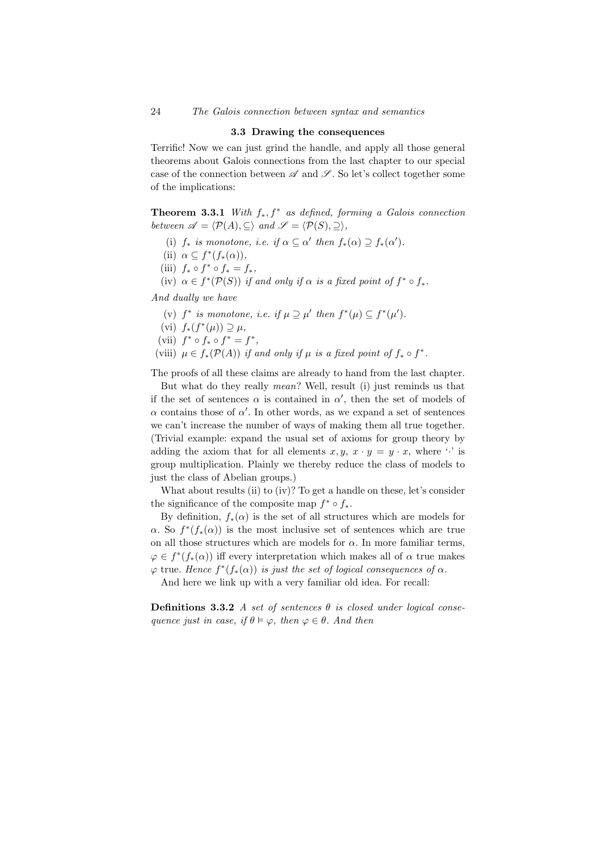### 3.3 Drawing the consequences

Terrific! Now we can just grind the handle, and apply all those general theorems about Galois connections from the last chapter to our special case of the connection between  $\mathscr A$  and  $\mathscr S$ . So let's collect together some of the implications:

**Theorem 3.3.1** With  $f_*, f^*$  as defined, forming a Galois connection between  $\mathscr{A} = \langle \mathcal{P}(A), \subseteq \rangle$  and  $\mathscr{S} = \langle \mathcal{P}(S), \supseteq \rangle$ ,

- (i)  $f_*$  is monotone, i.e. if  $\alpha \subseteq \alpha'$  then  $f_*(\alpha) \supseteq f_*(\alpha')$ .
- (ii)  $\alpha \subseteq f^*(f_*(\alpha)),$
- (iii)  $f_* \circ f^* \circ f_* = f_*,$
- (iv)  $\alpha \in f^*(\mathcal{P}(S))$  if and only if  $\alpha$  is a fixed point of  $f^* \circ f_*$ .

And dually we have

- (v)  $f^*$  is monotone, i.e. if  $\mu \supseteq \mu'$  then  $f^*(\mu) \subseteq f^*(\mu').$
- (vi)  $f_*(f^*(\mu)) \supseteq \mu$ ,
- (vii)  $f^* \circ f_* \circ f^* = f^*$ ,
- (viii)  $\mu \in f_*(\mathcal{P}(A))$  if and only if  $\mu$  is a fixed point of  $f_* \circ f^*$ .

The proofs of all these claims are already to hand from the last chapter.

But what do they really mean? Well, result (i) just reminds us that if the set of sentences  $\alpha$  is contained in  $\alpha'$ , then the set of models of  $\alpha$  contains those of  $\alpha'$ . In other words, as we expand a set of sentences we can't increase the number of ways of making them all true together. (Trivial example: expand the usual set of axioms for group theory by adding the axiom that for all elements  $x, y, x \cdot y = y \cdot x$ , where '.' is group multiplication. Plainly we thereby reduce the class of models to just the class of Abelian groups.)

What about results (ii) to (iv)? To get a handle on these, let's consider the significance of the composite map  $f^* \circ f_*$ .

By definition,  $f_*(\alpha)$  is the set of all structures which are models for  $\alpha$ . So  $f^*(f_*(\alpha))$  is the most inclusive set of sentences which are true on all those structures which are models for  $\alpha$ . In more familiar terms,  $\varphi \in f^*(f_*(\alpha))$  iff every interpretation which makes all of  $\alpha$  true makes  $\varphi$  true. Hence  $f^*(f_*(\alpha))$  is just the set of logical consequences of  $\alpha$ .

And here we link up with a very familiar old idea. For recall:

Definitions 3.3.2 A set of sentences  $\theta$  is closed under logical consequence just in case, if  $\theta \models \varphi$ , then  $\varphi \in \theta$ . And then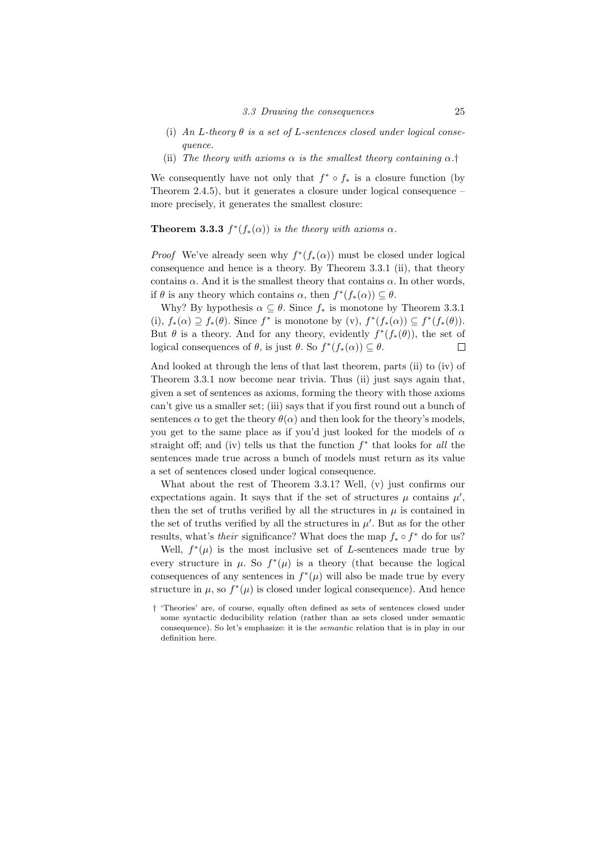- (i) An L-theory  $\theta$  is a set of L-sentences closed under logical consequence.
- (ii) The theory with axioms  $\alpha$  is the smallest theory containing  $\alpha$ .<sup>†</sup>

We consequently have not only that  $f^* \circ f_*$  is a closure function (by Theorem 2.4.5), but it generates a closure under logical consequence – more precisely, it generates the smallest closure:

# **Theorem 3.3.3**  $f^*(f_*(\alpha))$  is the theory with axioms  $\alpha$ .

*Proof* We've already seen why  $f^*(f_*(\alpha))$  must be closed under logical consequence and hence is a theory. By Theorem 3.3.1 (ii), that theory contains  $\alpha$ . And it is the smallest theory that contains  $\alpha$ . In other words, if  $\theta$  is any theory which contains  $\alpha$ , then  $f^*(f_*(\alpha)) \subseteq \theta$ .

Why? By hypothesis  $\alpha \subseteq \theta$ . Since  $f_*$  is monotone by Theorem 3.3.1 (i),  $f_*(\alpha) \supseteq f_*(\theta)$ . Since  $f^*$  is monotone by  $(v)$ ,  $f^*(f_*(\alpha)) \subseteq f^*(f_*(\theta))$ . But  $\theta$  is a theory. And for any theory, evidently  $f^*(f_*(\theta))$ , the set of logical consequences of  $\theta$ , is just  $\theta$ . So  $f^*(f_*(\alpha)) \subseteq \theta$ .  $\Box$ 

And looked at through the lens of that last theorem, parts (ii) to (iv) of Theorem 3.3.1 now become near trivia. Thus (ii) just says again that, given a set of sentences as axioms, forming the theory with those axioms can't give us a smaller set; (iii) says that if you first round out a bunch of sentences  $\alpha$  to get the theory  $\theta(\alpha)$  and then look for the theory's models, you get to the same place as if you'd just looked for the models of  $\alpha$ straight off; and (iv) tells us that the function  $f^*$  that looks for all the sentences made true across a bunch of models must return as its value a set of sentences closed under logical consequence.

What about the rest of Theorem 3.3.1? Well, (v) just confirms our expectations again. It says that if the set of structures  $\mu$  contains  $\mu'$ , then the set of truths verified by all the structures in  $\mu$  is contained in the set of truths verified by all the structures in  $\mu'$ . But as for the other results, what's *their* significance? What does the map  $f_* \circ f^*$  do for us?

Well,  $f^*(\mu)$  is the most inclusive set of L-sentences made true by every structure in  $\mu$ . So  $f^*(\mu)$  is a theory (that because the logical consequences of any sentences in  $f^*(\mu)$  will also be made true by every structure in  $\mu$ , so  $f^*(\mu)$  is closed under logical consequence). And hence

<sup>†</sup> 'Theories' are, of course, equally often defined as sets of sentences closed under some syntactic deducibility relation (rather than as sets closed under semantic consequence). So let's emphasize: it is the semantic relation that is in play in our definition here.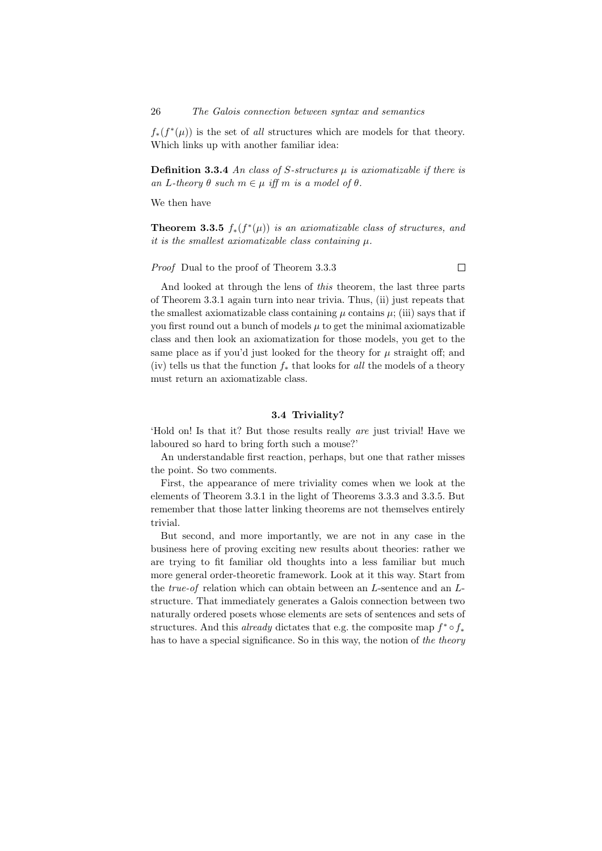26 The Galois connection between syntax and semantics

 $f_*(f^*(\mu))$  is the set of all structures which are models for that theory. Which links up with another familiar idea:

**Definition 3.3.4** An class of S-structures  $\mu$  is axiomatizable if there is an L-theory  $\theta$  such  $m \in \mu$  iff m is a model of  $\theta$ .

We then have

**Theorem 3.3.5**  $f_*(f^*(\mu))$  is an axiomatizable class of structures, and it is the smallest axiomatizable class containing  $\mu$ .

Proof Dual to the proof of Theorem 3.3.3

 $\Box$ 

And looked at through the lens of this theorem, the last three parts of Theorem 3.3.1 again turn into near trivia. Thus, (ii) just repeats that the smallest axiomatizable class containing  $\mu$  contains  $\mu$ ; (iii) says that if you first round out a bunch of models  $\mu$  to get the minimal axiomatizable class and then look an axiomatization for those models, you get to the same place as if you'd just looked for the theory for  $\mu$  straight off; and (iv) tells us that the function  $f_*$  that looks for all the models of a theory must return an axiomatizable class.

## 3.4 Triviality?

'Hold on! Is that it? But those results really are just trivial! Have we laboured so hard to bring forth such a mouse?'

An understandable first reaction, perhaps, but one that rather misses the point. So two comments.

First, the appearance of mere triviality comes when we look at the elements of Theorem 3.3.1 in the light of Theorems 3.3.3 and 3.3.5. But remember that those latter linking theorems are not themselves entirely trivial.

But second, and more importantly, we are not in any case in the business here of proving exciting new results about theories: rather we are trying to fit familiar old thoughts into a less familiar but much more general order-theoretic framework. Look at it this way. Start from the true-of relation which can obtain between an L-sentence and an Lstructure. That immediately generates a Galois connection between two naturally ordered posets whose elements are sets of sentences and sets of structures. And this *already* dictates that e.g. the composite map  $f^* \circ f_*$ has to have a special significance. So in this way, the notion of the theory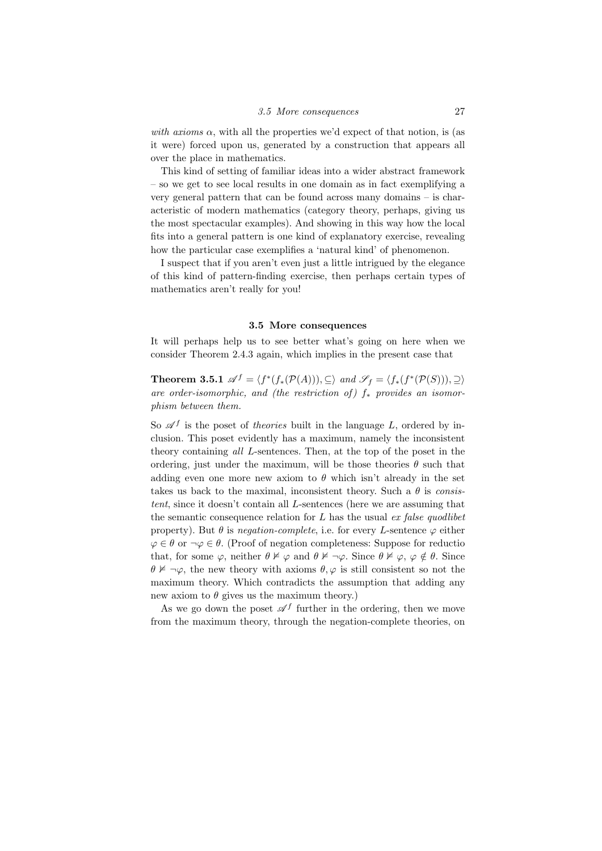with axioms  $\alpha$ , with all the properties we'd expect of that notion, is (as it were) forced upon us, generated by a construction that appears all over the place in mathematics.

This kind of setting of familiar ideas into a wider abstract framework – so we get to see local results in one domain as in fact exemplifying a very general pattern that can be found across many domains – is characteristic of modern mathematics (category theory, perhaps, giving us the most spectacular examples). And showing in this way how the local fits into a general pattern is one kind of explanatory exercise, revealing how the particular case exemplifies a 'natural kind' of phenomenon.

I suspect that if you aren't even just a little intrigued by the elegance of this kind of pattern-finding exercise, then perhaps certain types of mathematics aren't really for you!

### 3.5 More consequences

It will perhaps help us to see better what's going on here when we consider Theorem 2.4.3 again, which implies in the present case that

**Theorem 3.5.1**  $\mathscr{A}^f = \langle f^*(f_*(\mathcal{P}(A))), \subseteq \rangle$  and  $\mathscr{S}_f = \langle f_*(f^*(\mathcal{P}(S))), \subseteq \rangle$ are order-isomorphic, and (the restriction of)  $f_*$  provides an isomorphism between them.

So  $\mathscr{A}^f$  is the poset of theories built in the language L, ordered by inclusion. This poset evidently has a maximum, namely the inconsistent theory containing all L-sentences. Then, at the top of the poset in the ordering, just under the maximum, will be those theories  $\theta$  such that adding even one more new axiom to  $\theta$  which isn't already in the set takes us back to the maximal, inconsistent theory. Such a  $\theta$  is consistent, since it doesn't contain all L-sentences (here we are assuming that the semantic consequence relation for  $L$  has the usual  $ex$  false quodlibet property). But  $\theta$  is negation-complete, i.e. for every L-sentence  $\varphi$  either  $\varphi \in \theta$  or  $\neg \varphi \in \theta$ . (Proof of negation completeness: Suppose for reductio that, for some  $\varphi$ , neither  $\theta \not\vDash \varphi$  and  $\theta \not\vDash \neg \varphi$ . Since  $\theta \not\vDash \varphi$ ,  $\varphi \notin \theta$ . Since  $\theta \not\vDash \neg \varphi$ , the new theory with axioms  $\theta, \varphi$  is still consistent so not the maximum theory. Which contradicts the assumption that adding any new axiom to  $\theta$  gives us the maximum theory.)

As we go down the poset  $\mathscr{A}^f$  further in the ordering, then we move from the maximum theory, through the negation-complete theories, on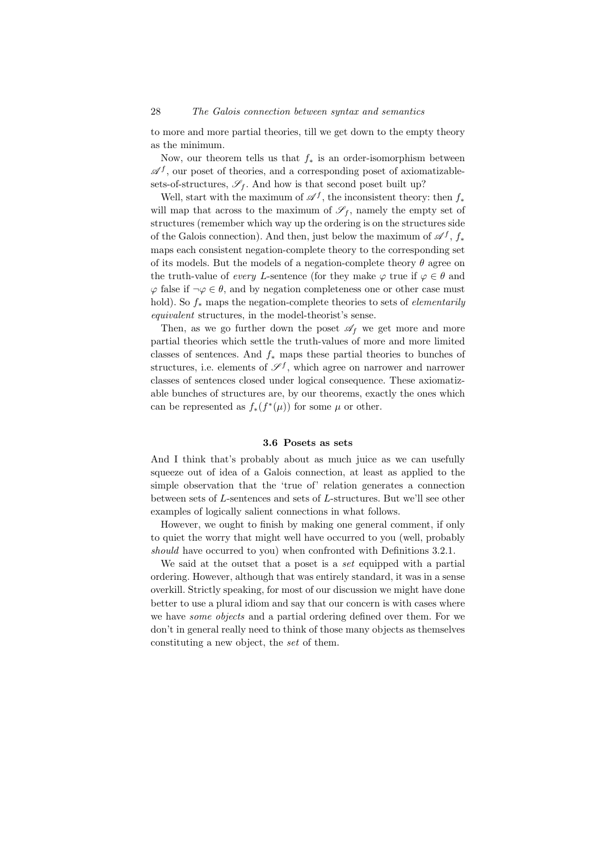to more and more partial theories, till we get down to the empty theory as the minimum.

Now, our theorem tells us that  $f_*$  is an order-isomorphism between  $\mathscr{A}^f$ , our poset of theories, and a corresponding poset of axiomatizablesets-of-structures,  $\mathscr{S}_f$ . And how is that second poset built up?

Well, start with the maximum of  $\mathscr{A}^f$ , the inconsistent theory: then  $f_*$ will map that across to the maximum of  $\mathscr{S}_f$ , namely the empty set of structures (remember which way up the ordering is on the structures side of the Galois connection). And then, just below the maximum of  $\mathscr{A}^f$ ,  $f_*$ maps each consistent negation-complete theory to the corresponding set of its models. But the models of a negation-complete theory  $\theta$  agree on the truth-value of every L-sentence (for they make  $\varphi$  true if  $\varphi \in \theta$  and  $\varphi$  false if  $\neg \varphi \in \theta$ , and by negation completeness one or other case must hold). So  $f_*$  maps the negation-complete theories to sets of *elementarily* equivalent structures, in the model-theorist's sense.

Then, as we go further down the poset  $\mathscr{A}_f$  we get more and more partial theories which settle the truth-values of more and more limited classes of sentences. And  $f_*$  maps these partial theories to bunches of structures, i.e. elements of  $\mathscr{S}^f$ , which agree on narrower and narrower classes of sentences closed under logical consequence. These axiomatizable bunches of structures are, by our theorems, exactly the ones which can be represented as  $f_*(f^*(\mu))$  for some  $\mu$  or other.

## 3.6 Posets as sets

And I think that's probably about as much juice as we can usefully squeeze out of idea of a Galois connection, at least as applied to the simple observation that the 'true of' relation generates a connection between sets of L-sentences and sets of L-structures. But we'll see other examples of logically salient connections in what follows.

However, we ought to finish by making one general comment, if only to quiet the worry that might well have occurred to you (well, probably should have occurred to you) when confronted with Definitions 3.2.1.

We said at the outset that a poset is a *set* equipped with a partial ordering. However, although that was entirely standard, it was in a sense overkill. Strictly speaking, for most of our discussion we might have done better to use a plural idiom and say that our concern is with cases where we have *some objects* and a partial ordering defined over them. For we don't in general really need to think of those many objects as themselves constituting a new object, the set of them.